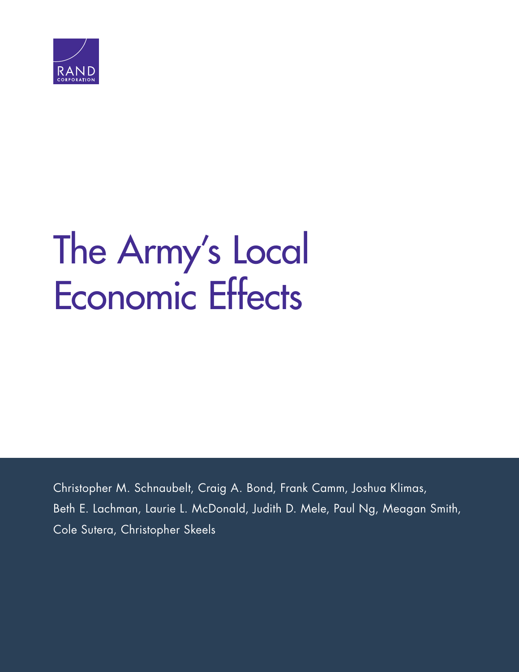

# [The Army's Local](http://www.rand.org/pubs/research_reports/RR1119.html)  Economic Effects

Christopher M. Schnaubelt, Craig A. Bond, Frank Camm, Joshua Klimas, Beth E. Lachman, Laurie L. McDonald, Judith D. Mele, Paul Ng, Meagan Smith, Cole Sutera, Christopher Skeels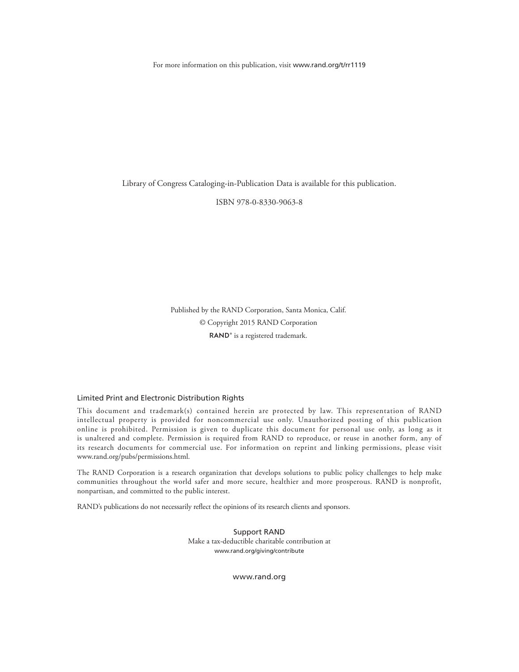For more information on this publication, visit [www.rand.org/t/rr1119](http://www.rand.org/t/rr1119)

Library of Congress Cataloging-in-Publication Data is available for this publication.

ISBN 978-0-8330-9063-8

Published by the RAND Corporation, Santa Monica, Calif. © Copyright 2015 RAND Corporation RAND<sup>®</sup> is a registered trademark.

#### Limited Print and Electronic Distribution Rights

This document and trademark(s) contained herein are protected by law. This representation of RAND intellectual property is provided for noncommercial use only. Unauthorized posting of this publication online is prohibited. Permission is given to duplicate this document for personal use only, as long as it is unaltered and complete. Permission is required from RAND to reproduce, or reuse in another form, any of its research documents for commercial use. For information on reprint and linking permissions, please visit [www.rand.org/pubs/permissions.html.](http://www.rand.org/pubs/permissions.html)

The RAND Corporation is a research organization that develops solutions to public policy challenges to help make communities throughout the world safer and more secure, healthier and more prosperous. RAND is nonprofit, nonpartisan, and committed to the public interest.

RAND's publications do not necessarily reflect the opinions of its research clients and sponsors.

Support RAND Make a tax-deductible charitable contribution at [www.rand.org/giving/contribute](http://www.rand.org/giving/contribute)

[www.rand.org](http://www.rand.org)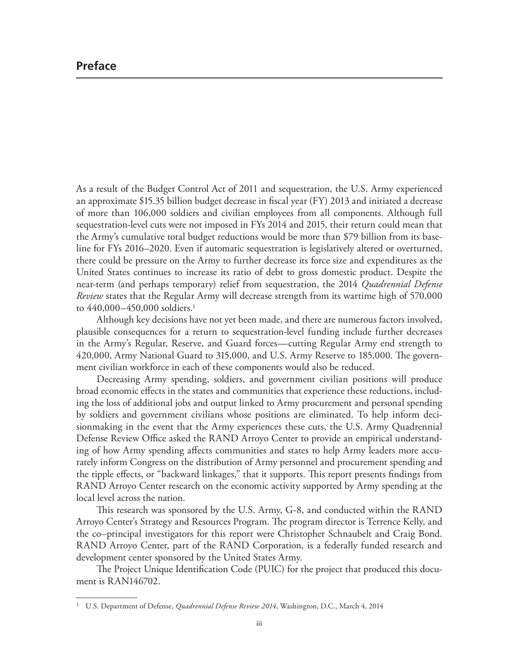As a result of the Budget Control Act of 2011 and sequestration, the U.S. Army experienced an approximate \$15.35 billion budget decrease in fiscal year (FY) 2013 and initiated a decrease of more than 106,000 soldiers and civilian employees from all components. Although full sequestration-level cuts were not imposed in FYs 2014 and 2015, their return could mean that the Army's cumulative total budget reductions would be more than \$79 billion from its baseline for FYs 2016–2020. Even if automatic sequestration is legislatively altered or overturned, there could be pressure on the Army to further decrease its force size and expenditures as the United States continues to increase its ratio of debt to gross domestic product. Despite the near-term (and perhaps temporary) relief from sequestration, the 2014 *Quadrennial Defense Review* states that the Regular Army will decrease strength from its wartime high of 570,000 to 440,000–450,000 soldiers.<sup>1</sup>

Although key decisions have not yet been made, and there are numerous factors involved, plausible consequences for a return to sequestration-level funding include further decreases in the Army's Regular, Reserve, and Guard forces—cutting Regular Army end strength to 420,000, Army National Guard to 315,000, and U.S. Army Reserve to 185,000. The government civilian workforce in each of these components would also be reduced.

Decreasing Army spending, soldiers, and government civilian positions will produce broad economic effects in the states and communities that experience these reductions, including the loss of additional jobs and output linked to Army procurement and personal spending by soldiers and government civilians whose positions are eliminated. To help inform decisionmaking in the event that the Army experiences these cuts, the U.S. Army Quadrennial Defense Review Office asked the RAND Arroyo Center to provide an empirical understanding of how Army spending affects communities and states to help Army leaders more accurately inform Congress on the distribution of Army personnel and procurement spending and the ripple effects, or "backward linkages," that it supports. This report presents findings from RAND Arroyo Center research on the economic activity supported by Army spending at the local level across the nation.

This research was sponsored by the U.S. Army, G-8, and conducted within the RAND Arroyo Center's Strategy and Resources Program. The program director is Terrence Kelly, and the co–principal investigators for this report were Christopher Schnaubelt and Craig Bond. RAND Arroyo Center, part of the RAND Corporation, is a federally funded research and development center sponsored by the United States Army.

The Project Unique Identification Code (PUIC) for the project that produced this document is RAN146702.

<sup>1</sup> U.S. Department of Defense, *Quadrennial Defense Review 2014*, Washington, D.C., March 4, 2014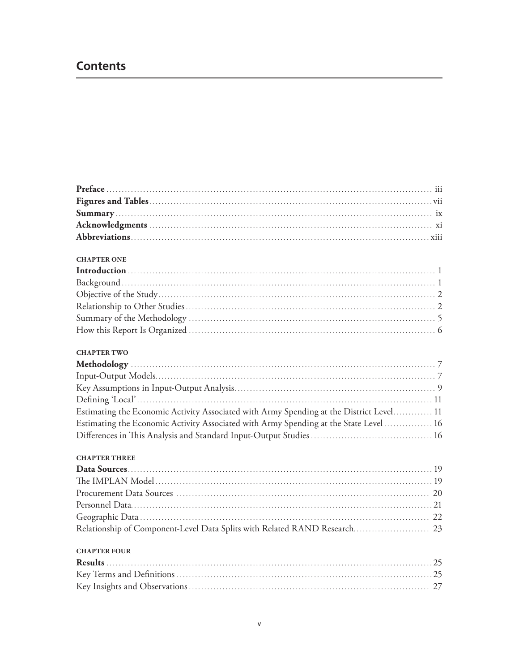## **Contents**

| <b>CHAPTER ONE</b>                                                                      |
|-----------------------------------------------------------------------------------------|
|                                                                                         |
|                                                                                         |
|                                                                                         |
|                                                                                         |
|                                                                                         |
|                                                                                         |
| <b>CHAPTER TWO</b>                                                                      |
|                                                                                         |
|                                                                                         |
|                                                                                         |
|                                                                                         |
| Estimating the Economic Activity Associated with Army Spending at the District Level 11 |
| Estimating the Economic Activity Associated with Army Spending at the State Level  16   |
|                                                                                         |
| <b>CHAPTER THREE</b>                                                                    |
|                                                                                         |
|                                                                                         |
|                                                                                         |
|                                                                                         |
|                                                                                         |
| Relationship of Component-Level Data Splits with Related RAND Research 23               |
| <b>CHAPTER FOUR</b>                                                                     |
|                                                                                         |
|                                                                                         |
|                                                                                         |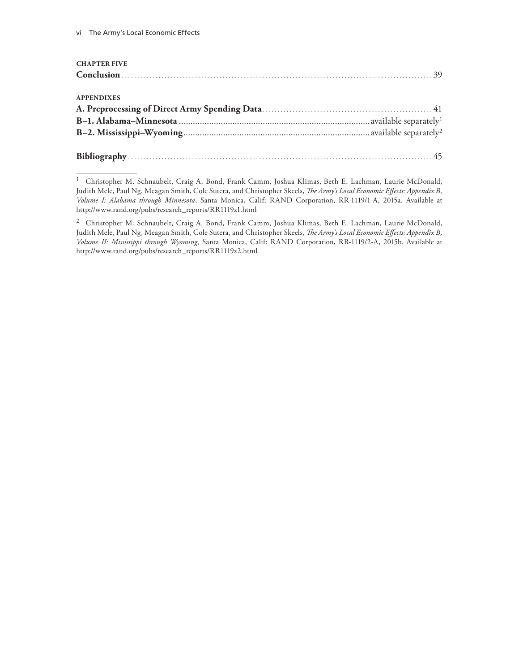| <b>CHAPTER FIVE</b> |  |
|---------------------|--|
|                     |  |
| <b>APPENDIXES</b>   |  |
|                     |  |
|                     |  |
|                     |  |
|                     |  |

<sup>1</sup> Christopher M. Schnaubelt, Craig A. Bond, Frank Camm, Joshua Klimas, Beth E. Lachman, Laurie McDonald, Judith Mele, Paul Ng, Meagan Smith, Cole Sutera, and Christopher Skeels, *The Army's Local Economic Effects: Appendix B, Volume I: Alabama through Minnesota*, Santa Monica, Calif: RAND Corporation, RR-1119/1-A, 2015a. Available at [http://www.rand.org/pubs/research\\_reports/RR1119z1.html](http://www.rand.org/pubs/research_reports/RR1119z1.html)

<sup>2</sup> Christopher M. Schnaubelt, Craig A. Bond, Frank Camm, Joshua Klimas, Beth E. Lachman, Laurie McDonald, Judith Mele, Paul Ng, Meagan Smith, Cole Sutera, and Christopher Skeels, *The Army's Local Economic Effects: Appendix B, Volume II: Mississippi through Wyoming*, Santa Monica, Calif: RAND Corporation, RR-1119/2-A, 2015b. Available at [http://www.rand.org/pubs/research\\_reports/RR1119z2.html](http://www.rand.org/pubs/research_reports/RR1119z2.html)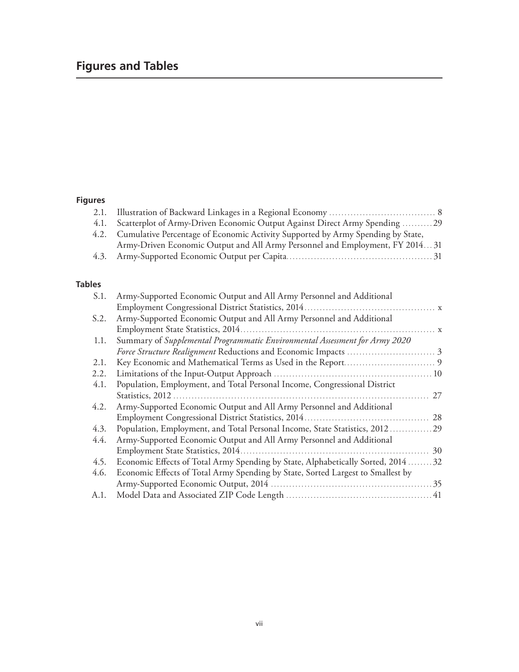# **Figures and Tables**

### **Figures**

| 4.1. Scatterplot of Army-Driven Economic Output Against Direct Army Spending 29      |  |
|--------------------------------------------------------------------------------------|--|
| 4.2. Cumulative Percentage of Economic Activity Supported by Army Spending by State, |  |
| Army-Driven Economic Output and All Army Personnel and Employment, FY 201431         |  |
|                                                                                      |  |

#### **Tables**

| S.1. | Army-Supported Economic Output and All Army Personnel and Additional            |                |
|------|---------------------------------------------------------------------------------|----------------|
|      |                                                                                 | $\overline{X}$ |
| S.2. | Army-Supported Economic Output and All Army Personnel and Additional            |                |
|      |                                                                                 | $\mathbf{x}$   |
| 1.1. | Summary of Supplemental Programmatic Environmental Assessment for Army 2020     |                |
|      |                                                                                 |                |
| 2.1. |                                                                                 |                |
| 2.2. |                                                                                 |                |
| 4.1. | Population, Employment, and Total Personal Income, Congressional District       |                |
|      |                                                                                 | 27             |
| 4.2. | Army-Supported Economic Output and All Army Personnel and Additional            |                |
|      |                                                                                 | 28             |
| 4.3. | Population, Employment, and Total Personal Income, State Statistics, 2012       | 29             |
| 4.4. | Army-Supported Economic Output and All Army Personnel and Additional            |                |
|      | Employment State Statistics, 2014.                                              | 30             |
| 4.5. | Economic Effects of Total Army Spending by State, Alphabetically Sorted, 2014   | 32             |
| 4.6. | Economic Effects of Total Army Spending by State, Sorted Largest to Smallest by |                |
|      |                                                                                 | 35             |
| A.1. |                                                                                 |                |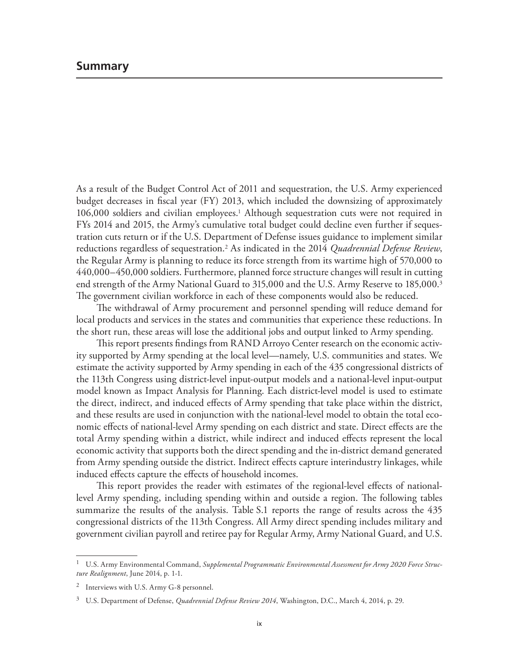As a result of the Budget Control Act of 2011 and sequestration, the U.S. Army experienced budget decreases in fiscal year (FY) 2013, which included the downsizing of approximately 106,000 soldiers and civilian employees.1 Although sequestration cuts were not required in FYs 2014 and 2015, the Army's cumulative total budget could decline even further if sequestration cuts return or if the U.S. Department of Defense issues guidance to implement similar reductions regardless of sequestration.2 As indicated in the 2014 *Quadrennial Defense Review*, the Regular Army is planning to reduce its force strength from its wartime high of 570,000 to 440,000–450,000 soldiers. Furthermore, planned force structure changes will result in cutting end strength of the Army National Guard to 315,000 and the U.S. Army Reserve to 185,000.3 The government civilian workforce in each of these components would also be reduced.

The withdrawal of Army procurement and personnel spending will reduce demand for local products and services in the states and communities that experience these reductions. In the short run, these areas will lose the additional jobs and output linked to Army spending.

This report presents findings from RAND Arroyo Center research on the economic activity supported by Army spending at the local level—namely, U.S. communities and states. We estimate the activity supported by Army spending in each of the 435 congressional districts of the 113th Congress using district-level input-output models and a national-level input-output model known as Impact Analysis for Planning. Each district-level model is used to estimate the direct, indirect, and induced effects of Army spending that take place within the district, and these results are used in conjunction with the national-level model to obtain the total economic effects of national-level Army spending on each district and state. Direct effects are the total Army spending within a district, while indirect and induced effects represent the local economic activity that supports both the direct spending and the in-district demand generated from Army spending outside the district. Indirect effects capture interindustry linkages, while induced effects capture the effects of household incomes.

This report provides the reader with estimates of the regional-level effects of nationallevel Army spending, including spending within and outside a region. The following tables summarize the results of the analysis. Table S.1 reports the range of results across the 435 congressional districts of the 113th Congress. All Army direct spending includes military and government civilian payroll and retiree pay for Regular Army, Army National Guard, and U.S.

<sup>1</sup> U.S. Army Environmental Command, *Supplemental Programmatic Environmental Assessment for Army 2020 Force Structure Realignment*, June 2014, p. 1-1.

<sup>2</sup> Interviews with U.S. Army G-8 personnel.

<sup>3</sup> U.S. Department of Defense, *Quadrennial Defense Review 2014*, Washington, D.C., March 4, 2014, p. 29.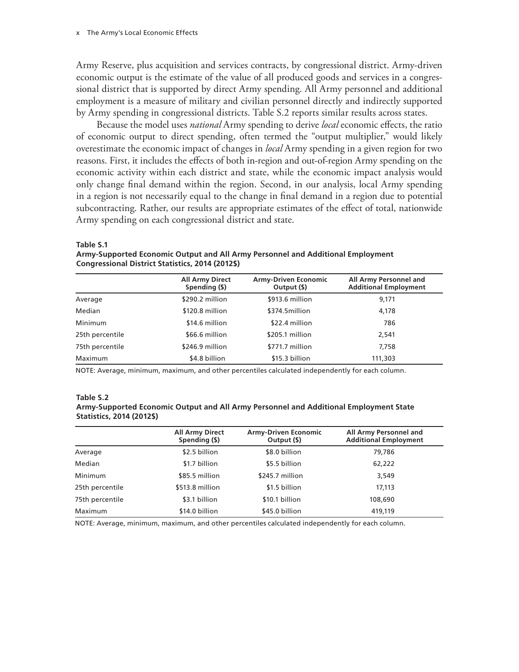**Table S.1**

Army Reserve, plus acquisition and services contracts, by congressional district. Army-driven economic output is the estimate of the value of all produced goods and services in a congressional district that is supported by direct Army spending. All Army personnel and additional employment is a measure of military and civilian personnel directly and indirectly supported by Army spending in congressional districts. Table S.2 reports similar results across states.

Because the model uses *national* Army spending to derive *local* economic effects, the ratio of economic output to direct spending, often termed the "output multiplier," would likely overestimate the economic impact of changes in *local* Army spending in a given region for two reasons. First, it includes the effects of both in-region and out-of-region Army spending on the economic activity within each district and state, while the economic impact analysis would only change final demand within the region. Second, in our analysis, local Army spending in a region is not necessarily equal to the change in final demand in a region due to potential subcontracting. Rather, our results are appropriate estimates of the effect of total, nationwide Army spending on each congressional district and state.

|                 | <b>All Army Direct</b><br>Spending (\$) | <b>Army-Driven Economic</b><br>Output (\$) | All Army Personnel and<br><b>Additional Employment</b> |
|-----------------|-----------------------------------------|--------------------------------------------|--------------------------------------------------------|
| Average         | \$290.2 million                         | \$913.6 million                            | 9,171                                                  |
| Median          | $$120.8$ million                        | \$374.5million                             | 4,178                                                  |
| Minimum         | \$14.6 million                          | \$22.4 million                             | 786                                                    |
| 25th percentile | \$66.6 million                          | \$205.1 million                            | 2,541                                                  |
| 75th percentile | $$246.9$ million                        | \$771.7 million                            | 7,758                                                  |
| Maximum         | \$4.8 billion                           | \$15.3 billion                             | 111,303                                                |

#### **Army-Supported Economic Output and All Army Personnel and Additional Employment Congressional District Statistics, 2014 (2012\$)**

NOTE: Average, minimum, maximum, and other percentiles calculated independently for each column.

#### **Table S.2 Army-Supported Economic Output and All Army Personnel and Additional Employment State Statistics, 2014 (2012\$)**

|                 | <b>All Army Direct</b><br>Spending (\$) | <b>Army-Driven Economic</b><br>Output (\$) | All Army Personnel and<br><b>Additional Employment</b> |
|-----------------|-----------------------------------------|--------------------------------------------|--------------------------------------------------------|
| Average         | \$2.5 billion                           | \$8.0 billion                              | 79,786                                                 |
| Median          | \$1.7 billion                           | \$5.5 billion                              | 62,222                                                 |
| Minimum         | \$85.5 million                          | \$245.7 million                            | 3,549                                                  |
| 25th percentile | \$513.8 million                         | \$1.5 billion                              | 17,113                                                 |
| 75th percentile | \$3.1 billion                           | \$10.1 billion                             | 108,690                                                |
| Maximum         | \$14.0 billion                          | \$45.0 billion                             | 419,119                                                |

NOTE: Average, minimum, maximum, and other percentiles calculated independently for each column.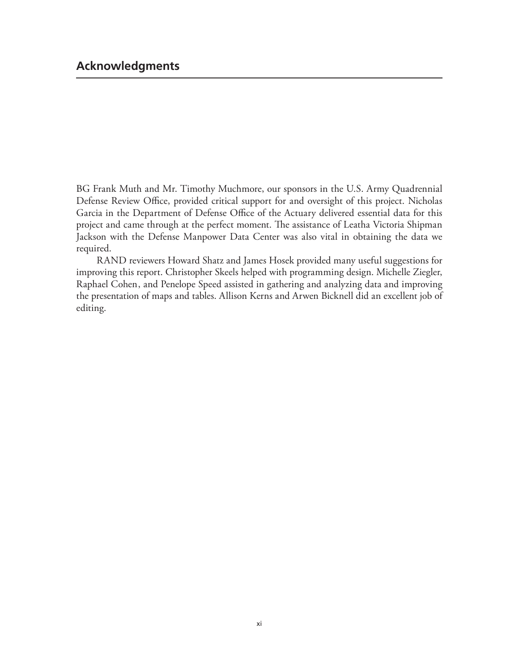BG Frank Muth and Mr. Timothy Muchmore, our sponsors in the U.S. Army Quadrennial Defense Review Office, provided critical support for and oversight of this project. Nicholas Garcia in the Department of Defense Office of the Actuary delivered essential data for this project and came through at the perfect moment. The assistance of Leatha Victoria Shipman Jackson with the Defense Manpower Data Center was also vital in obtaining the data we required.

RAND reviewers Howard Shatz and James Hosek provided many useful suggestions for improving this report. Christopher Skeels helped with programming design. Michelle Ziegler, Raphael Cohen, and Penelope Speed assisted in gathering and analyzing data and improving the presentation of maps and tables. Allison Kerns and Arwen Bicknell did an excellent job of editing.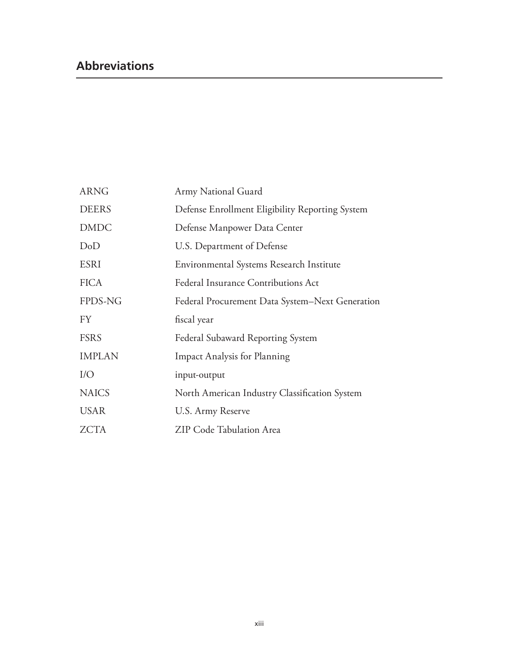# **Abbreviations**

| <b>ARNG</b>   | Army National Guard                             |
|---------------|-------------------------------------------------|
| <b>DEERS</b>  | Defense Enrollment Eligibility Reporting System |
| <b>DMDC</b>   | Defense Manpower Data Center                    |
| DoD           | U.S. Department of Defense                      |
| <b>ESRI</b>   | Environmental Systems Research Institute        |
| <b>FICA</b>   | Federal Insurance Contributions Act             |
| FPDS-NG       | Federal Procurement Data System-Next Generation |
| <b>FY</b>     | fiscal year                                     |
| <b>FSRS</b>   | Federal Subaward Reporting System               |
| <b>IMPLAN</b> | <b>Impact Analysis for Planning</b>             |
| I/O           | input-output                                    |
| <b>NAICS</b>  | North American Industry Classification System   |
| <b>USAR</b>   | U.S. Army Reserve                               |
| <b>ZCTA</b>   | <b>ZIP Code Tabulation Area</b>                 |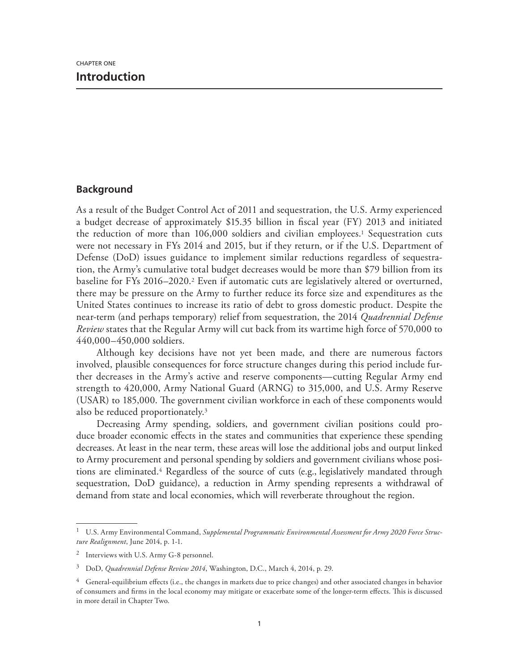#### **Background**

As a result of the Budget Control Act of 2011 and sequestration, the U.S. Army experienced a budget decrease of approximately \$15.35 billion in fiscal year (FY) 2013 and initiated the reduction of more than 106,000 soldiers and civilian employees.<sup>1</sup> Sequestration cuts were not necessary in FYs 2014 and 2015, but if they return, or if the U.S. Department of Defense (DoD) issues guidance to implement similar reductions regardless of sequestration, the Army's cumulative total budget decreases would be more than \$79 billion from its baseline for FYs 2016–2020.<sup>2</sup> Even if automatic cuts are legislatively altered or overturned, there may be pressure on the Army to further reduce its force size and expenditures as the United States continues to increase its ratio of debt to gross domestic product. Despite the near-term (and perhaps temporary) relief from sequestration, the 2014 *Quadrennial Defense Review* states that the Regular Army will cut back from its wartime high force of 570,000 to 440,000–450,000 soldiers.

Although key decisions have not yet been made, and there are numerous factors involved, plausible consequences for force structure changes during this period include further decreases in the Army's active and reserve components—cutting Regular Army end strength to 420,000, Army National Guard (ARNG) to 315,000, and U.S. Army Reserve (USAR) to 185,000. The government civilian workforce in each of these components would also be reduced proportionately.3

Decreasing Army spending, soldiers, and government civilian positions could produce broader economic effects in the states and communities that experience these spending decreases. At least in the near term, these areas will lose the additional jobs and output linked to Army procurement and personal spending by soldiers and government civilians whose positions are eliminated.4 Regardless of the source of cuts (e.g., legislatively mandated through sequestration, DoD guidance), a reduction in Army spending represents a withdrawal of demand from state and local economies, which will reverberate throughout the region.

<sup>1</sup> U.S. Army Environmental Command, *Supplemental Programmatic Environmental Assessment for Army 2020 Force Structure Realignment*, June 2014, p. 1-1.

<sup>&</sup>lt;sup>2</sup> Interviews with U.S. Army G-8 personnel.

<sup>3</sup> DoD, *Quadrennial Defense Review 2014*, Washington, D.C., March 4, 2014, p. 29.

<sup>4</sup> General-equilibrium effects (i.e., the changes in markets due to price changes) and other associated changes in behavior of consumers and firms in the local economy may mitigate or exacerbate some of the longer-term effects. This is discussed in more detail in Chapter Two.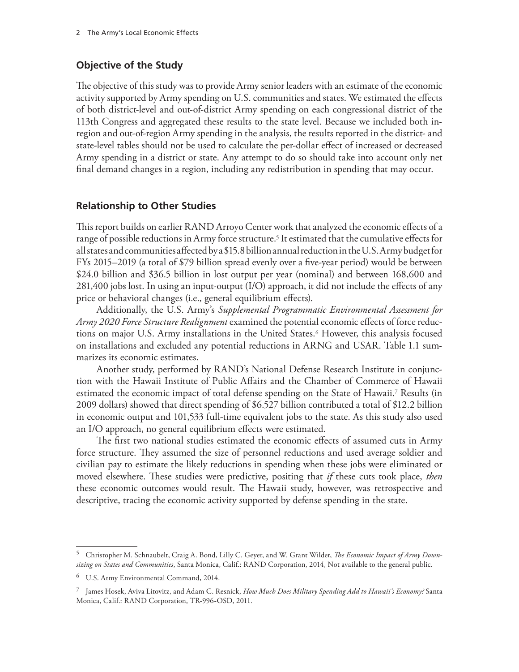#### **Objective of the Study**

The objective of this study was to provide Army senior leaders with an estimate of the economic activity supported by Army spending on U.S. communities and states. We estimated the effects of both district-level and out-of-district Army spending on each congressional district of the 113th Congress and aggregated these results to the state level. Because we included both inregion and out-of-region Army spending in the analysis, the results reported in the district- and state-level tables should not be used to calculate the per-dollar effect of increased or decreased Army spending in a district or state. Any attempt to do so should take into account only net final demand changes in a region, including any redistribution in spending that may occur.

#### **Relationship to Other Studies**

This report builds on earlier RAND Arroyo Center work that analyzed the economic effects of a range of possible reductions in Army force structure.5 It estimated that the cumulative effects for all states and communities affected by a \$15.8 billion annual reduction in the U.S. Army budget for FYs 2015–2019 (a total of \$79 billion spread evenly over a five-year period) would be between \$24.0 billion and \$36.5 billion in lost output per year (nominal) and between 168,600 and 281,400 jobs lost. In using an input-output (I/O) approach, it did not include the effects of any price or behavioral changes (i.e., general equilibrium effects).

Additionally, the U.S. Army's *Supplemental Programmatic Environmental Assessment for Army 2020 Force Structure Realignment* examined the potential economic effects of force reductions on major U.S. Army installations in the United States.<sup>6</sup> However, this analysis focused on installations and excluded any potential reductions in ARNG and USAR. Table 1.1 summarizes its economic estimates.

Another study, performed by RAND's National Defense Research Institute in conjunction with the Hawaii Institute of Public Affairs and the Chamber of Commerce of Hawaii estimated the economic impact of total defense spending on the State of Hawaii.7 Results (in 2009 dollars) showed that direct spending of \$6.527 billion contributed a total of \$12.2 billion in economic output and 101,533 full-time equivalent jobs to the state. As this study also used an I/O approach, no general equilibrium effects were estimated.

The first two national studies estimated the economic effects of assumed cuts in Army force structure. They assumed the size of personnel reductions and used average soldier and civilian pay to estimate the likely reductions in spending when these jobs were eliminated or moved elsewhere. These studies were predictive, positing that *if* these cuts took place, *then* these economic outcomes would result. The Hawaii study, however, was retrospective and descriptive, tracing the economic activity supported by defense spending in the state.

<sup>5</sup> Christopher M. Schnaubelt, Craig A. Bond, Lilly C. Geyer, and W. Grant Wilder, *The Economic Impact of Army Downsizing on States and Communities*, Santa Monica, Calif.: RAND Corporation, 2014, Not available to the general public.

<sup>6</sup> U.S. Army Environmental Command, 2014.

<sup>7</sup> James Hosek, Aviva Litovitz, and Adam C. Resnick, *How Much Does Military Spending Add to Hawaii's Economy?* Santa Monica, Calif.: RAND Corporation, TR-996-OSD, 2011.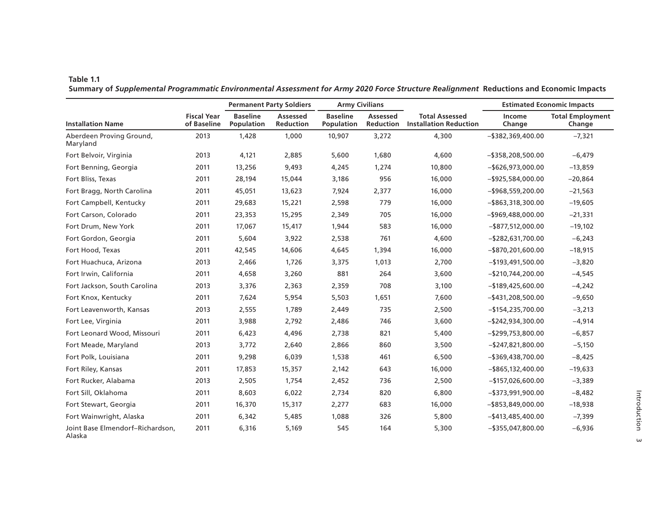#### **Table 1.1 Summary of** *Supplemental Programmatic Environmental Assessment for Army 2020 Force Structure Realignment* **Reductions and Economic Impacts**

|                                            |                                   | <b>Permanent Party Soldiers</b> |                       | <b>Army Civilians</b>         |                       |                                                        |                      | <b>Estimated Economic Impacts</b> |
|--------------------------------------------|-----------------------------------|---------------------------------|-----------------------|-------------------------------|-----------------------|--------------------------------------------------------|----------------------|-----------------------------------|
| <b>Installation Name</b>                   | <b>Fiscal Year</b><br>of Baseline | <b>Baseline</b><br>Population   | Assessed<br>Reduction | <b>Baseline</b><br>Population | Assessed<br>Reduction | <b>Total Assessed</b><br><b>Installation Reduction</b> | Income<br>Change     | <b>Total Employment</b><br>Change |
| Aberdeen Proving Ground,<br>Maryland       | 2013                              | 1,428                           | 1,000                 | 10,907                        | 3,272                 | 4,300                                                  | $-$ \$382,369,400.00 | $-7,321$                          |
| Fort Belvoir, Virginia                     | 2013                              | 4,121                           | 2,885                 | 5,600                         | 1,680                 | 4,600                                                  | $-$ \$358,208,500.00 | $-6,479$                          |
| Fort Benning, Georgia                      | 2011                              | 13,256                          | 9,493                 | 4,245                         | 1,274                 | 10,800                                                 | $-$ \$626,973,000.00 | $-13,859$                         |
| Fort Bliss, Texas                          | 2011                              | 28,194                          | 15,044                | 3,186                         | 956                   | 16,000                                                 | $-$ \$925,584,000.00 | $-20,864$                         |
| Fort Bragg, North Carolina                 | 2011                              | 45,051                          | 13,623                | 7,924                         | 2,377                 | 16,000                                                 | $-$ \$968,559,200.00 | $-21,563$                         |
| Fort Campbell, Kentucky                    | 2011                              | 29,683                          | 15,221                | 2,598                         | 779                   | 16,000                                                 | $-$ \$863,318,300.00 | $-19,605$                         |
| Fort Carson, Colorado                      | 2011                              | 23,353                          | 15,295                | 2,349                         | 705                   | 16,000                                                 | $-$ \$969,488,000.00 | $-21,331$                         |
| Fort Drum, New York                        | 2011                              | 17,067                          | 15,417                | 1,944                         | 583                   | 16,000                                                 | $-$ \$877,512,000.00 | $-19,102$                         |
| Fort Gordon, Georgia                       | 2011                              | 5,604                           | 3,922                 | 2,538                         | 761                   | 4,600                                                  | $-$ \$282,631,700.00 | $-6,243$                          |
| Fort Hood, Texas                           | 2011                              | 42,545                          | 14,606                | 4,645                         | 1,394                 | 16,000                                                 | $-$ \$870,201,600.00 | $-18,915$                         |
| Fort Huachuca, Arizona                     | 2013                              | 2,466                           | 1,726                 | 3,375                         | 1,013                 | 2,700                                                  | $-$ \$193,491,500.00 | $-3,820$                          |
| Fort Irwin, California                     | 2011                              | 4,658                           | 3,260                 | 881                           | 264                   | 3,600                                                  | $-$ \$210,744,200.00 | $-4,545$                          |
| Fort Jackson, South Carolina               | 2013                              | 3,376                           | 2,363                 | 2,359                         | 708                   | 3,100                                                  | $-189,425,600.00$    | $-4,242$                          |
| Fort Knox, Kentucky                        | 2011                              | 7,624                           | 5,954                 | 5,503                         | 1,651                 | 7,600                                                  | $-$ \$431,208,500.00 | $-9,650$                          |
| Fort Leavenworth, Kansas                   | 2013                              | 2,555                           | 1,789                 | 2,449                         | 735                   | 2,500                                                  | $-$ \$154,235,700.00 | $-3,213$                          |
| Fort Lee, Virginia                         | 2011                              | 3,988                           | 2,792                 | 2,486                         | 746                   | 3,600                                                  | $-$ \$242,934,300.00 | $-4,914$                          |
| Fort Leonard Wood, Missouri                | 2011                              | 6,423                           | 4,496                 | 2,738                         | 821                   | 5,400                                                  | $-$ \$299,753,800.00 | $-6,857$                          |
| Fort Meade, Maryland                       | 2013                              | 3,772                           | 2,640                 | 2,866                         | 860                   | 3,500                                                  | $-$ \$247,821,800.00 | $-5,150$                          |
| Fort Polk, Louisiana                       | 2011                              | 9,298                           | 6,039                 | 1,538                         | 461                   | 6,500                                                  | $-$ \$369,438,700.00 | $-8,425$                          |
| Fort Riley, Kansas                         | 2011                              | 17,853                          | 15,357                | 2,142                         | 643                   | 16,000                                                 | $-$ \$865,132,400.00 | $-19,633$                         |
| Fort Rucker, Alabama                       | 2013                              | 2,505                           | 1,754                 | 2,452                         | 736                   | 2,500                                                  | $-$157,026,600.00$   | $-3,389$                          |
| Fort Sill, Oklahoma                        | 2011                              | 8,603                           | 6,022                 | 2,734                         | 820                   | 6,800                                                  | $-$ \$373,991,900.00 | $-8,482$                          |
| Fort Stewart, Georgia                      | 2011                              | 16,370                          | 15,317                | 2,277                         | 683                   | 16,000                                                 | $-$ \$853,849,000.00 | $-18,938$                         |
| Fort Wainwright, Alaska                    | 2011                              | 6,342                           | 5,485                 | 1,088                         | 326                   | 5,800                                                  | $-$ \$413,485,400.00 | $-7,399$                          |
| Joint Base Elmendorf-Richardson,<br>Alaska | 2011                              | 6,316                           | 5,169                 | 545                           | 164                   | 5,300                                                  | $-$ \$355,047,800.00 | $-6,936$                          |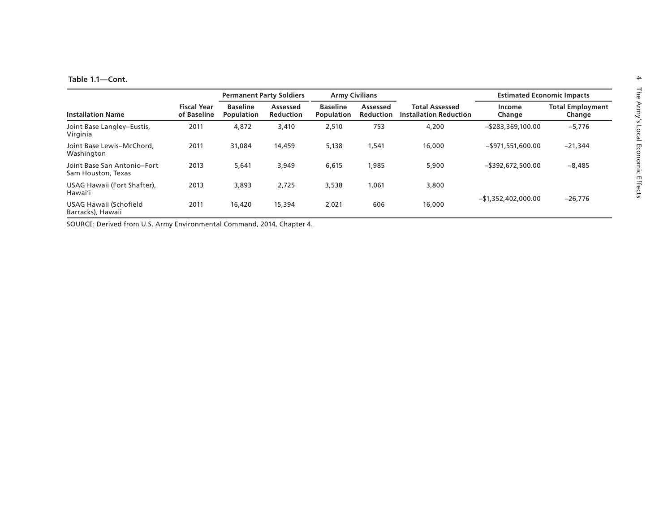|                                                   |                                   |                                      | <b>Permanent Party Soldiers</b> | <b>Army Civilians</b>                |                       |                                                        | <b>Estimated Economic Impacts</b> |                                   |
|---------------------------------------------------|-----------------------------------|--------------------------------------|---------------------------------|--------------------------------------|-----------------------|--------------------------------------------------------|-----------------------------------|-----------------------------------|
| <b>Installation Name</b>                          | <b>Fiscal Year</b><br>of Baseline | <b>Baseline</b><br><b>Population</b> | Assessed<br><b>Reduction</b>    | <b>Baseline</b><br><b>Population</b> | Assessed<br>Reduction | <b>Total Assessed</b><br><b>Installation Reduction</b> | Income<br>Change                  | <b>Total Employment</b><br>Change |
| Joint Base Langley-Eustis,<br>Virginia            | 2011                              | 4,872                                | 3,410                           | 2,510                                | 753                   | 4,200                                                  | $-$ \$283,369,100.00              | $-5,776$                          |
| Joint Base Lewis-McChord,<br>Washington           | 2011                              | 31,084                               | 14,459                          | 5,138                                | 1,541                 | 16,000                                                 | $-$ \$971,551,600.00              | $-21,344$                         |
| Joint Base San Antonio-Fort<br>Sam Houston, Texas | 2013                              | 5,641                                | 3,949                           | 6,615                                | 1,985                 | 5,900                                                  | $-$ \$392,672,500.00              | $-8,485$                          |
| USAG Hawaii (Fort Shafter),<br>Hawai'i            | 2013                              | 3,893                                | 2,725                           | 3,538                                | 1,061                 | 3,800                                                  |                                   |                                   |
| USAG Hawaii (Schofield<br>Barracks), Hawaii       | 2011                              | 16,420                               | 15,394                          | 2,021                                | 606                   | 16,000                                                 | $-1,352,402,000.00$               | $-26,776$                         |

SOURCE: Derived from U.S. Army Environmental Command, 2014, Chapter 4.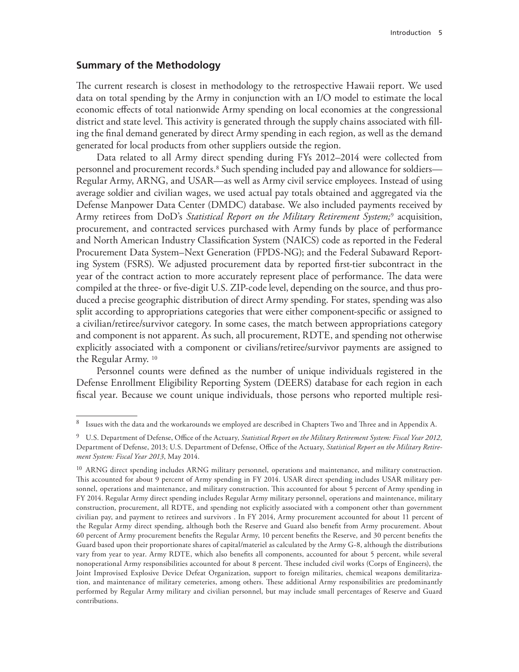#### **Summary of the Methodology**

The current research is closest in methodology to the retrospective Hawaii report. We used data on total spending by the Army in conjunction with an I/O model to estimate the local economic effects of total nationwide Army spending on local economies at the congressional district and state level. This activity is generated through the supply chains associated with filling the final demand generated by direct Army spending in each region, as well as the demand generated for local products from other suppliers outside the region.

Data related to all Army direct spending during FYs 2012–2014 were collected from personnel and procurement records.8 Such spending included pay and allowance for soldiers— Regular Army, ARNG, and USAR—as well as Army civil service employees. Instead of using average soldier and civilian wages, we used actual pay totals obtained and aggregated via the Defense Manpower Data Center (DMDC) database. We also included payments received by Army retirees from DoD's *Statistical Report on the Military Retirement System;*<sup>9</sup> acquisition, procurement, and contracted services purchased with Army funds by place of performance and North American Industry Classification System (NAICS) code as reported in the Federal Procurement Data System–Next Generation (FPDS-NG); and the Federal Subaward Reporting System (FSRS). We adjusted procurement data by reported first-tier subcontract in the year of the contract action to more accurately represent place of performance. The data were compiled at the three- or five-digit U.S. ZIP-code level, depending on the source, and thus produced a precise geographic distribution of direct Army spending. For states, spending was also split according to appropriations categories that were either component-specific or assigned to a civilian/retiree/survivor category. In some cases, the match between appropriations category and component is not apparent. As such, all procurement, RDTE, and spending not otherwise explicitly associated with a component or civilians/retiree/survivor payments are assigned to the Regular Army. 10

Personnel counts were defined as the number of unique individuals registered in the Defense Enrollment Eligibility Reporting System (DEERS) database for each region in each fiscal year. Because we count unique individuals, those persons who reported multiple resi-

<sup>8</sup> Issues with the data and the workarounds we employed are described in Chapters Two and Three and in Appendix A.

<sup>9</sup> U.S. Department of Defense, Office of the Actuary, *Statistical Report on the Military Retirement System: Fiscal Year 2012,*  Department of Defense, 2013; U.S. Department of Defense, Office of the Actuary, *Statistical Report on the Military Retirement System: Fiscal Year 2013*, May 2014.

<sup>10</sup> ARNG direct spending includes ARNG military personnel, operations and maintenance, and military construction. This accounted for about 9 percent of Army spending in FY 2014. USAR direct spending includes USAR military personnel, operations and maintenance, and military construction. This accounted for about 5 percent of Army spending in FY 2014. Regular Army direct spending includes Regular Army military personnel, operations and maintenance, military construction, procurement, all RDTE, and spending not explicitly associated with a component other than government civilian pay, and payment to retirees and survivors . In FY 2014, Army procurement accounted for about 11 percent of the Regular Army direct spending, although both the Reserve and Guard also benefit from Army procurement. About 60 percent of Army procurement benefits the Regular Army, 10 percent benefits the Reserve, and 30 percent benefits the Guard based upon their proportionate shares of capital/materiel as calculated by the Army G-8, although the distributions vary from year to year. Army RDTE, which also benefits all components, accounted for about 5 percent, while several nonoperational Army responsibilities accounted for about 8 percent. These included civil works (Corps of Engineers), the Joint Improvised Explosive Device Defeat Organization, support to foreign militaries, chemical weapons demilitarization, and maintenance of military cemeteries, among others. These additional Army responsibilities are predominantly performed by Regular Army military and civilian personnel, but may include small percentages of Reserve and Guard contributions.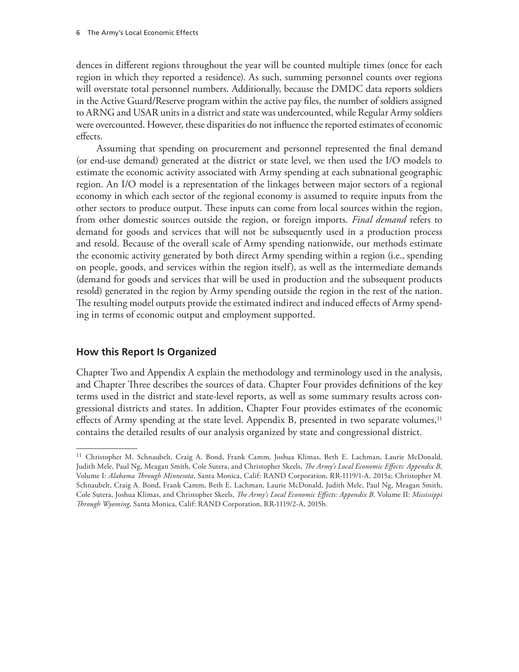dences in different regions throughout the year will be counted multiple times (once for each region in which they reported a residence). As such, summing personnel counts over regions will overstate total personnel numbers. Additionally, because the DMDC data reports soldiers in the Active Guard/Reserve program within the active pay files, the number of soldiers assigned to ARNG and USAR units in a district and state was undercounted, while Regular Army soldiers were overcounted. However, these disparities do not influence the reported estimates of economic effects.

Assuming that spending on procurement and personnel represented the final demand (or end-use demand) generated at the district or state level, we then used the I/O models to estimate the economic activity associated with Army spending at each subnational geographic region. An I/O model is a representation of the linkages between major sectors of a regional economy in which each sector of the regional economy is assumed to require inputs from the other sectors to produce output. These inputs can come from local sources within the region, from other domestic sources outside the region, or foreign imports. *Final demand* refers to demand for goods and services that will not be subsequently used in a production process and resold. Because of the overall scale of Army spending nationwide, our methods estimate the economic activity generated by both direct Army spending within a region (i.e., spending on people, goods, and services within the region itself), as well as the intermediate demands (demand for goods and services that will be used in production and the subsequent products resold) generated in the region by Army spending outside the region in the rest of the nation. The resulting model outputs provide the estimated indirect and induced effects of Army spending in terms of economic output and employment supported.

#### **How this Report Is Organized**

Chapter Two and Appendix A explain the methodology and terminology used in the analysis, and Chapter Three describes the sources of data. Chapter Four provides definitions of the key terms used in the district and state-level reports, as well as some summary results across congressional districts and states. In addition, Chapter Four provides estimates of the economic effects of Army spending at the state level. Appendix B, presented in two separate volumes, $11$ contains the detailed results of our analysis organized by state and congressional district.

<sup>&</sup>lt;sup>11</sup> Christopher M. Schnaubelt, Craig A. Bond, Frank Camm, Joshua Klimas, Beth E. Lachman, Laurie McDonald, Judith Mele, Paul Ng, Meagan Smith, Cole Sutera, and Christopher Skeels, *The Army's Local Economic Effects: Appendix B,*  Volume I: *Alabama Through Minnesota*, Santa Monica, Calif: RAND Corporation, RR-1119/1-A, 2015a; Christopher M. Schnaubelt, Craig A. Bond, Frank Camm, Beth E. Lachman, Laurie McDonald, Judith Mele, Paul Ng, Meagan Smith, Cole Sutera, Joshua Klimas, and Christopher Skeels, *The Army's Local Economic Effects: Appendix B,* Volume II: *Mississippi Through Wyoming*, Santa Monica, Calif: RAND Corporation, RR-1119/2-A, 2015b.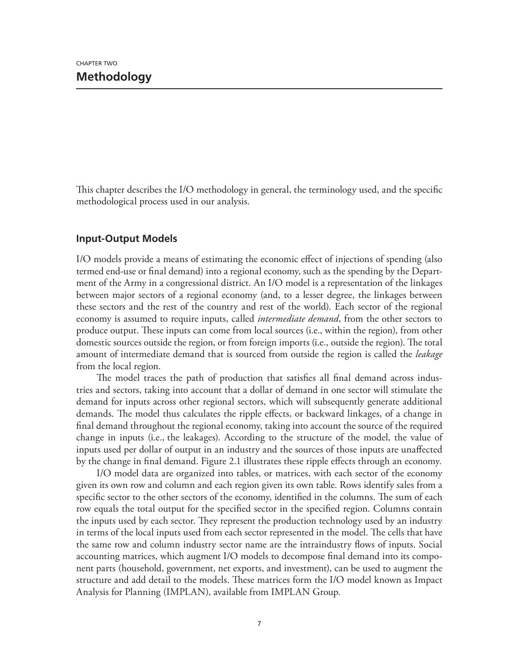This chapter describes the I/O methodology in general, the terminology used, and the specific methodological process used in our analysis.

#### **Input-Output Models**

I/O models provide a means of estimating the economic effect of injections of spending (also termed end-use or final demand) into a regional economy, such as the spending by the Department of the Army in a congressional district. An I/O model is a representation of the linkages between major sectors of a regional economy (and, to a lesser degree, the linkages between these sectors and the rest of the country and rest of the world). Each sector of the regional economy is assumed to require inputs, called *intermediate demand*, from the other sectors to produce output. These inputs can come from local sources (i.e., within the region), from other domestic sources outside the region, or from foreign imports (i.e., outside the region). The total amount of intermediate demand that is sourced from outside the region is called the *leakage* from the local region.

The model traces the path of production that satisfies all final demand across industries and sectors, taking into account that a dollar of demand in one sector will stimulate the demand for inputs across other regional sectors, which will subsequently generate additional demands. The model thus calculates the ripple effects, or backward linkages, of a change in final demand throughout the regional economy, taking into account the source of the required change in inputs (i.e., the leakages). According to the structure of the model, the value of inputs used per dollar of output in an industry and the sources of those inputs are unaffected by the change in final demand. Figure 2.1 illustrates these ripple effects through an economy.

I/O model data are organized into tables, or matrices, with each sector of the economy given its own row and column and each region given its own table. Rows identify sales from a specific sector to the other sectors of the economy, identified in the columns. The sum of each row equals the total output for the specified sector in the specified region. Columns contain the inputs used by each sector. They represent the production technology used by an industry in terms of the local inputs used from each sector represented in the model. The cells that have the same row and column industry sector name are the intraindustry flows of inputs. Social accounting matrices, which augment I/O models to decompose final demand into its component parts (household, government, net exports, and investment), can be used to augment the structure and add detail to the models. These matrices form the I/O model known as Impact Analysis for Planning (IMPLAN), available from IMPLAN Group.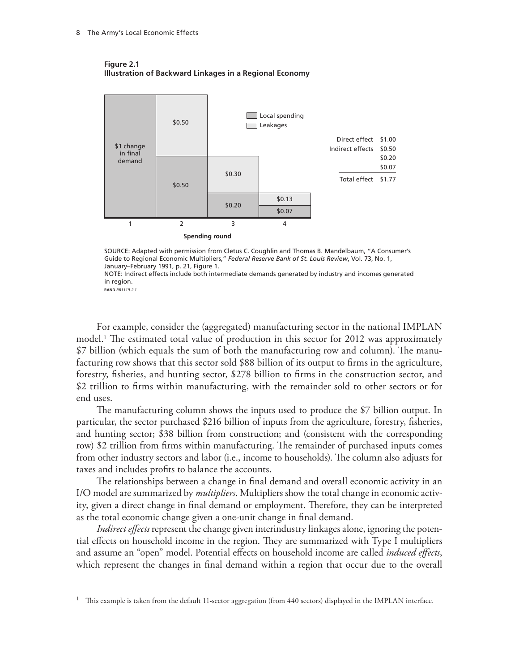

**Figure 2.1 Illustration of Backward Linkages in a Regional Economy**

SOURCE: Adapted with permission from Cletus C. Coughlin and Thomas B. Mandelbaum, "A Consumer's Guide to Regional Economic Multipliers," *Federal Reserve Bank of St. Louis Review*, Vol. 73, No. 1, January–February 1991, p. 21, Figure 1.

NOTE: Indirect effects include both intermediate demands generated by industry and incomes generated in region.

**RAND** *RR1119-2.1*

For example, consider the (aggregated) manufacturing sector in the national IMPLAN model.1 The estimated total value of production in this sector for 2012 was approximately \$7 billion (which equals the sum of both the manufacturing row and column). The manufacturing row shows that this sector sold \$88 billion of its output to firms in the agriculture, forestry, fisheries, and hunting sector, \$278 billion to firms in the construction sector, and \$2 trillion to firms within manufacturing, with the remainder sold to other sectors or for end uses.

The manufacturing column shows the inputs used to produce the \$7 billion output. In particular, the sector purchased \$216 billion of inputs from the agriculture, forestry, fisheries, and hunting sector; \$38 billion from construction; and (consistent with the corresponding row) \$2 trillion from firms within manufacturing. The remainder of purchased inputs comes from other industry sectors and labor (i.e., income to households). The column also adjusts for taxes and includes profits to balance the accounts.

The relationships between a change in final demand and overall economic activity in an I/O model are summarized by *multipliers*. Multipliers show the total change in economic activity, given a direct change in final demand or employment. Therefore, they can be interpreted as the total economic change given a one-unit change in final demand.

*Indirect effects* represent the change given interindustry linkages alone, ignoring the potential effects on household income in the region. They are summarized with Type I multipliers and assume an "open" model. Potential effects on household income are called *induced effects*, which represent the changes in final demand within a region that occur due to the overall

<sup>&</sup>lt;sup>1</sup> This example is taken from the default 11-sector aggregation (from 440 sectors) displayed in the IMPLAN interface.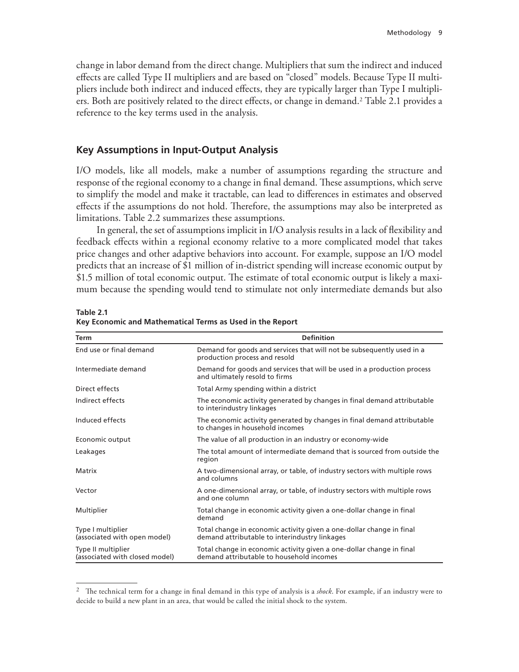change in labor demand from the direct change. Multipliers that sum the indirect and induced effects are called Type II multipliers and are based on "closed" models. Because Type II multipliers include both indirect and induced effects, they are typically larger than Type I multipliers. Both are positively related to the direct effects, or change in demand.2 Table 2.1 provides a reference to the key terms used in the analysis.

#### **Key Assumptions in Input-Output Analysis**

I/O models, like all models, make a number of assumptions regarding the structure and response of the regional economy to a change in final demand. These assumptions, which serve to simplify the model and make it tractable, can lead to differences in estimates and observed effects if the assumptions do not hold. Therefore, the assumptions may also be interpreted as limitations. Table 2.2 summarizes these assumptions.

In general, the set of assumptions implicit in I/O analysis results in a lack of flexibility and feedback effects within a regional economy relative to a more complicated model that takes price changes and other adaptive behaviors into account. For example, suppose an I/O model predicts that an increase of \$1 million of in-district spending will increase economic output by \$1.5 million of total economic output. The estimate of total economic output is likely a maximum because the spending would tend to stimulate not only intermediate demands but also

| <b>Term</b>                                          | <b>Definition</b>                                                                                                     |
|------------------------------------------------------|-----------------------------------------------------------------------------------------------------------------------|
| End use or final demand                              | Demand for goods and services that will not be subsequently used in a<br>production process and resold                |
| Intermediate demand                                  | Demand for goods and services that will be used in a production process<br>and ultimately resold to firms             |
| Direct effects                                       | Total Army spending within a district                                                                                 |
| Indirect effects                                     | The economic activity generated by changes in final demand attributable<br>to interindustry linkages                  |
| Induced effects                                      | The economic activity generated by changes in final demand attributable<br>to changes in household incomes            |
| Economic output                                      | The value of all production in an industry or economy-wide                                                            |
| Leakages                                             | The total amount of intermediate demand that is sourced from outside the<br>region                                    |
| Matrix                                               | A two-dimensional array, or table, of industry sectors with multiple rows<br>and columns                              |
| Vector                                               | A one-dimensional array, or table, of industry sectors with multiple rows<br>and one column                           |
| Multiplier                                           | Total change in economic activity given a one-dollar change in final<br>demand                                        |
| Type I multiplier<br>(associated with open model)    | Total change in economic activity given a one-dollar change in final<br>demand attributable to interindustry linkages |
| Type II multiplier<br>(associated with closed model) | Total change in economic activity given a one-dollar change in final<br>demand attributable to household incomes      |

**Table 2.1 Key Economic and Mathematical Terms as Used in the Report**

<sup>2</sup> The technical term for a change in final demand in this type of analysis is a *shock*. For example, if an industry were to decide to build a new plant in an area, that would be called the initial shock to the system.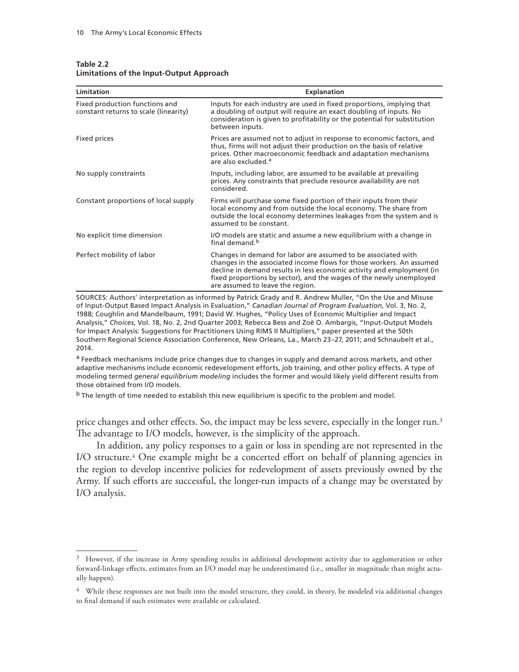| Limitation                                                              | <b>Explanation</b>                                                                                                                                                                                                                                                                                                         |
|-------------------------------------------------------------------------|----------------------------------------------------------------------------------------------------------------------------------------------------------------------------------------------------------------------------------------------------------------------------------------------------------------------------|
| Fixed production functions and<br>constant returns to scale (linearity) | Inputs for each industry are used in fixed proportions, implying that<br>a doubling of output will require an exact doubling of inputs. No<br>consideration is given to profitability or the potential for substitution<br>between inputs.                                                                                 |
| Fixed prices                                                            | Prices are assumed not to adjust in response to economic factors, and<br>thus, firms will not adjust their production on the basis of relative<br>prices. Other macroeconomic feedback and adaptation mechanisms<br>are also excluded. <sup>a</sup>                                                                        |
| No supply constraints                                                   | Inputs, including labor, are assumed to be available at prevailing<br>prices. Any constraints that preclude resource availability are not<br>considered.                                                                                                                                                                   |
| Constant proportions of local supply                                    | Firms will purchase some fixed portion of their inputs from their<br>local economy and from outside the local economy. The share from<br>outside the local economy determines leakages from the system and is<br>assumed to be constant.                                                                                   |
| No explicit time dimension                                              | I/O models are static and assume a new equilibrium with a change in<br>final demand. <sup>b</sup>                                                                                                                                                                                                                          |
| Perfect mobility of labor                                               | Changes in demand for labor are assumed to be associated with<br>changes in the associated income flows for those workers. An assumed<br>decline in demand results in less economic activity and employment (in<br>fixed proportions by sector), and the wages of the newly unemployed<br>are assumed to leave the region. |

#### **Table 2.2 Limitations of the Input-Output Approach**

SOURCES: Authors' interpretation as informed by Patrick Grady and R. Andrew Muller, "On the Use and Misuse of Input-Output Based Impact Analysis in Evaluation," *Canadian Journal of Program Evaluation*, Vol. 3, No. 2, 1988; Coughlin and Mandelbaum, 1991; David W. Hughes, "Policy Uses of Economic Multiplier and Impact Analysis," *Choices*, Vol. 18, No. 2, 2nd Quarter 2003; Rebecca Bess and Zoë O. Ambargis, "Input-Output Models for Impact Analysis: Suggestions for Practitioners Using RIMS II Multipliers," paper presented at the 50th Southern Regional Science Association Conference, New Orleans, La., March 23–27, 2011; and Schnaubelt et al., 2014.

a Feedback mechanisms include price changes due to changes in supply and demand across markets, and other adaptive mechanisms include economic redevelopment efforts, job training, and other policy effects. A type of modeling termed *general equilibrium modeling* includes the former and would likely yield different results from those obtained from I/O models.

<sup>b</sup> The length of time needed to establish this new equilibrium is specific to the problem and model.

price changes and other effects. So, the impact may be less severe, especially in the longer run.<sup>3</sup> The advantage to I/O models, however, is the simplicity of the approach.

In addition, any policy responses to a gain or loss in spending are not represented in the I/O structure.<sup>4</sup> One example might be a concerted effort on behalf of planning agencies in the region to develop incentive policies for redevelopment of assets previously owned by the Army. If such efforts are successful, the longer-run impacts of a change may be overstated by I/O analysis.

 $3$  However, if the increase in Army spending results in additional development activity due to agglomeration or other forward-linkage effects, estimates from an I/O model may be underestimated (i.e., smaller in magnitude than might actually happen).

<sup>&</sup>lt;sup>4</sup> While these responses are not built into the model structure, they could, in theory, be modeled via additional changes to final demand if such estimates were available or calculated.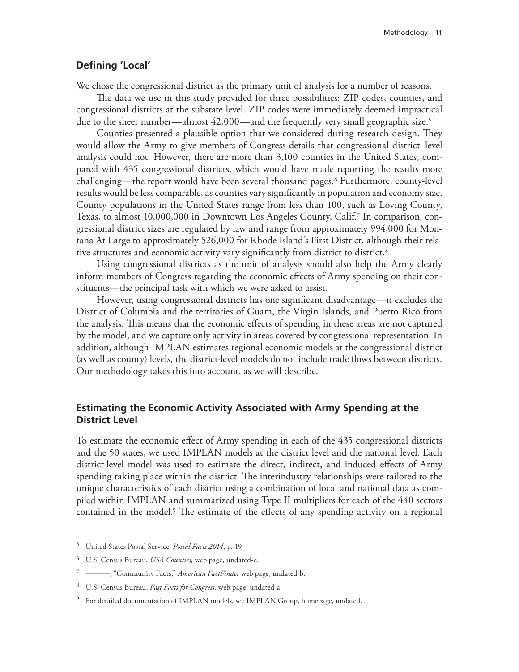#### **Defining 'Local'**

We chose the congressional district as the primary unit of analysis for a number of reasons.

The data we use in this study provided for three possibilities: ZIP codes, counties, and congressional districts at the substate level. ZIP codes were immediately deemed impractical due to the sheer number—almost 42,000—and the frequently very small geographic size.<sup>5</sup>

Counties presented a plausible option that we considered during research design. They would allow the Army to give members of Congress details that congressional district–level analysis could not. However, there are more than 3,100 counties in the United States, compared with 435 congressional districts, which would have made reporting the results more challenging—the report would have been several thousand pages.6 Furthermore, county-level results would be less comparable, as counties vary significantly in population and economy size. County populations in the United States range from less than 100, such as Loving County, Texas, to almost 10,000,000 in Downtown Los Angeles County, Calif.7 In comparison, congressional district sizes are regulated by law and range from approximately 994,000 for Montana At-Large to approximately 526,000 for Rhode Island's First District, although their relative structures and economic activity vary significantly from district to district.8

Using congressional districts as the unit of analysis should also help the Army clearly inform members of Congress regarding the economic effects of Army spending on their constituents—the principal task with which we were asked to assist.

However, using congressional districts has one significant disadvantage—it excludes the District of Columbia and the territories of Guam, the Virgin Islands, and Puerto Rico from the analysis. This means that the economic effects of spending in these areas are not captured by the model, and we capture only activity in areas covered by congressional representation. In addition, although IMPLAN estimates regional economic models at the congressional district (as well as county) levels, the district-level models do not include trade flows between districts. Our methodology takes this into account, as we will describe.

#### **Estimating the Economic Activity Associated with Army Spending at the District Level**

To estimate the economic effect of Army spending in each of the 435 congressional districts and the 50 states, we used IMPLAN models at the district level and the national level. Each district-level model was used to estimate the direct, indirect, and induced effects of Army spending taking place within the district. The interindustry relationships were tailored to the unique characteristics of each district using a combination of local and national data as compiled within IMPLAN and summarized using Type II multipliers for each of the 440 sectors contained in the model.<sup>9</sup> The estimate of the effects of any spending activity on a regional

<sup>5</sup> United States Postal Service, *Postal Facts 2014*, p. 19

<sup>6</sup> U.S. Census Bureau, *USA Counties,* web page, undated-c.

<sup>7</sup> ———, "Community Facts," *American FactFinder* web page, undated-b.

<sup>8</sup> U.S. Census Bureau, *Fast Facts for Congress,* web page, undated-a.

<sup>&</sup>lt;sup>9</sup> For detailed documentation of IMPLAN models, see IMPLAN Group, homepage, undated.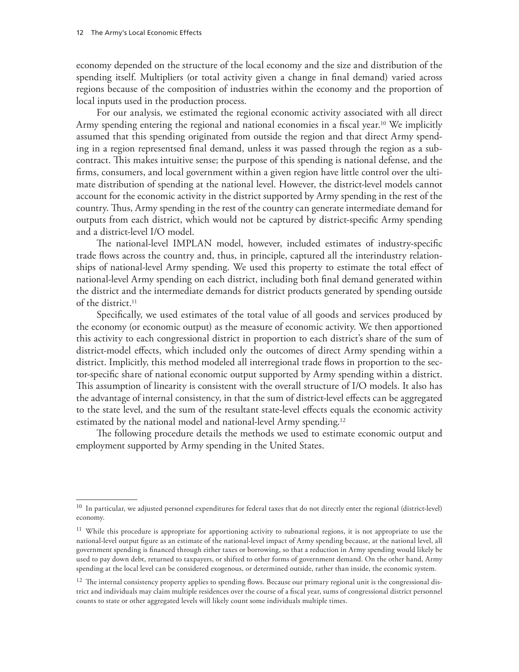economy depended on the structure of the local economy and the size and distribution of the spending itself. Multipliers (or total activity given a change in final demand) varied across regions because of the composition of industries within the economy and the proportion of local inputs used in the production process.

For our analysis, we estimated the regional economic activity associated with all direct Army spending entering the regional and national economies in a fiscal year.10 We implicitly assumed that this spending originated from outside the region and that direct Army spending in a region representsed final demand, unless it was passed through the region as a subcontract. This makes intuitive sense; the purpose of this spending is national defense, and the firms, consumers, and local government within a given region have little control over the ultimate distribution of spending at the national level. However, the district-level models cannot account for the economic activity in the district supported by Army spending in the rest of the country. Thus, Army spending in the rest of the country can generate intermediate demand for outputs from each district, which would not be captured by district-specific Army spending and a district-level I/O model.

The national-level IMPLAN model, however, included estimates of industry-specific trade flows across the country and, thus, in principle, captured all the interindustry relationships of national-level Army spending. We used this property to estimate the total effect of national-level Army spending on each district, including both final demand generated within the district and the intermediate demands for district products generated by spending outside of the district.<sup>11</sup>

Specifically, we used estimates of the total value of all goods and services produced by the economy (or economic output) as the measure of economic activity. We then apportioned this activity to each congressional district in proportion to each district's share of the sum of district-model effects, which included only the outcomes of direct Army spending within a district. Implicitly, this method modeled all interregional trade flows in proportion to the sector-specific share of national economic output supported by Army spending within a district. This assumption of linearity is consistent with the overall structure of I/O models. It also has the advantage of internal consistency, in that the sum of district-level effects can be aggregated to the state level, and the sum of the resultant state-level effects equals the economic activity estimated by the national model and national-level Army spending.12

The following procedure details the methods we used to estimate economic output and employment supported by Army spending in the United States.

<sup>&</sup>lt;sup>10</sup> In particular, we adjusted personnel expenditures for federal taxes that do not directly enter the regional (district-level) economy.

<sup>&</sup>lt;sup>11</sup> While this procedure is appropriate for apportioning activity to subnational regions, it is not appropriate to use the national-level output figure as an estimate of the national-level impact of Army spending because, at the national level, all government spending is financed through either taxes or borrowing, so that a reduction in Army spending would likely be used to pay down debt, returned to taxpayers, or shifted to other forms of government demand. On the other hand, Army spending at the local level can be considered exogenous, or determined outside, rather than inside, the economic system.

<sup>&</sup>lt;sup>12</sup> The internal consistency property applies to spending flows. Because our primary regional unit is the congressional district and individuals may claim multiple residences over the course of a fiscal year, sums of congressional district personnel counts to state or other aggregated levels will likely count some individuals multiple times.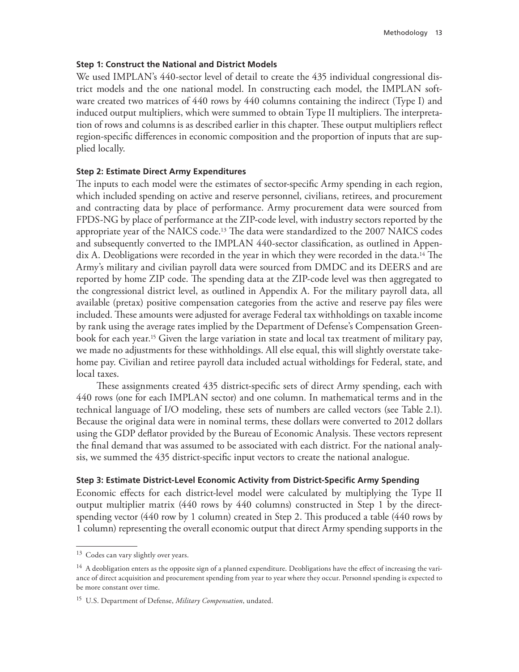#### **Step 1: Construct the National and District Models**

We used IMPLAN's 440-sector level of detail to create the 435 individual congressional district models and the one national model. In constructing each model, the IMPLAN software created two matrices of 440 rows by 440 columns containing the indirect (Type I) and induced output multipliers, which were summed to obtain Type II multipliers. The interpretation of rows and columns is as described earlier in this chapter. These output multipliers reflect region-specific differences in economic composition and the proportion of inputs that are supplied locally.

#### **Step 2: Estimate Direct Army Expenditures**

The inputs to each model were the estimates of sector-specific Army spending in each region, which included spending on active and reserve personnel, civilians, retirees, and procurement and contracting data by place of performance. Army procurement data were sourced from FPDS-NG by place of performance at the ZIP-code level, with industry sectors reported by the appropriate year of the NAICS code.13 The data were standardized to the 2007 NAICS codes and subsequently converted to the IMPLAN 440-sector classification, as outlined in Appendix A. Deobligations were recorded in the year in which they were recorded in the data.14 The Army's military and civilian payroll data were sourced from DMDC and its DEERS and are reported by home ZIP code. The spending data at the ZIP-code level was then aggregated to the congressional district level, as outlined in Appendix A. For the military payroll data, all available (pretax) positive compensation categories from the active and reserve pay files were included. These amounts were adjusted for average Federal tax withholdings on taxable income by rank using the average rates implied by the Department of Defense's Compensation Greenbook for each year.15 Given the large variation in state and local tax treatment of military pay, we made no adjustments for these withholdings. All else equal, this will slightly overstate takehome pay. Civilian and retiree payroll data included actual witholdings for Federal, state, and local taxes.

These assignments created 435 district-specific sets of direct Army spending, each with 440 rows (one for each IMPLAN sector) and one column. In mathematical terms and in the technical language of I/O modeling, these sets of numbers are called vectors (see Table 2.1). Because the original data were in nominal terms, these dollars were converted to 2012 dollars using the GDP deflator provided by the Bureau of Economic Analysis. These vectors represent the final demand that was assumed to be associated with each district. For the national analysis, we summed the 435 district-specific input vectors to create the national analogue.

#### **Step 3: Estimate District-Level Economic Activity from District-Specific Army Spending**

Economic effects for each district-level model were calculated by multiplying the Type II output multiplier matrix (440 rows by 440 columns) constructed in Step 1 by the directspending vector (440 row by 1 column) created in Step 2. This produced a table (440 rows by 1 column) representing the overall economic output that direct Army spending supports in the

<sup>&</sup>lt;sup>13</sup> Codes can vary slightly over years.

<sup>&</sup>lt;sup>14</sup> A deobligation enters as the opposite sign of a planned expenditure. Deobligations have the effect of increasing the variance of direct acquisition and procurement spending from year to year where they occur. Personnel spending is expected to be more constant over time.

<sup>15</sup> U.S. Department of Defense, *Military Compensation*, undated.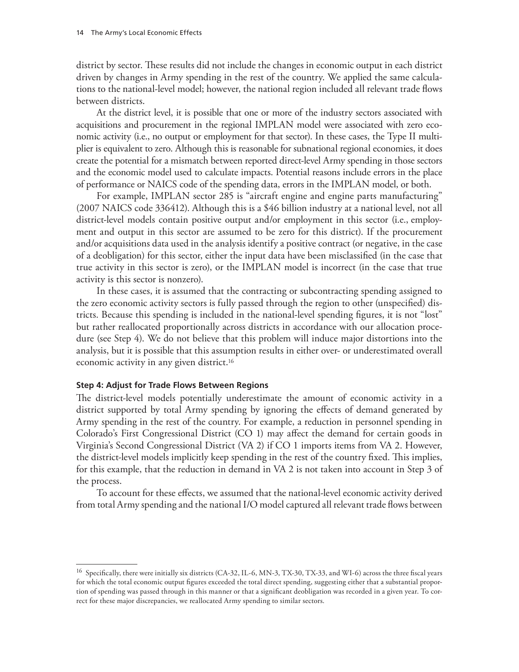district by sector. These results did not include the changes in economic output in each district driven by changes in Army spending in the rest of the country. We applied the same calculations to the national-level model; however, the national region included all relevant trade flows between districts.

At the district level, it is possible that one or more of the industry sectors associated with acquisitions and procurement in the regional IMPLAN model were associated with zero economic activity (i.e., no output or employment for that sector). In these cases, the Type II multiplier is equivalent to zero. Although this is reasonable for subnational regional economies, it does create the potential for a mismatch between reported direct-level Army spending in those sectors and the economic model used to calculate impacts. Potential reasons include errors in the place of performance or NAICS code of the spending data, errors in the IMPLAN model, or both.

For example, IMPLAN sector 285 is "aircraft engine and engine parts manufacturing" (2007 NAICS code 336412). Although this is a \$46 billion industry at a national level, not all district-level models contain positive output and/or employment in this sector (i.e., employment and output in this sector are assumed to be zero for this district). If the procurement and/or acquisitions data used in the analysis identify a positive contract (or negative, in the case of a deobligation) for this sector, either the input data have been misclassified (in the case that true activity in this sector is zero), or the IMPLAN model is incorrect (in the case that true activity is this sector is nonzero).

In these cases, it is assumed that the contracting or subcontracting spending assigned to the zero economic activity sectors is fully passed through the region to other (unspecified) districts. Because this spending is included in the national-level spending figures, it is not "lost" but rather reallocated proportionally across districts in accordance with our allocation procedure (see Step 4). We do not believe that this problem will induce major distortions into the analysis, but it is possible that this assumption results in either over- or underestimated overall economic activity in any given district.<sup>16</sup>

#### **Step 4: Adjust for Trade Flows Between Regions**

The district-level models potentially underestimate the amount of economic activity in a district supported by total Army spending by ignoring the effects of demand generated by Army spending in the rest of the country. For example, a reduction in personnel spending in Colorado's First Congressional District (CO 1) may affect the demand for certain goods in Virginia's Second Congressional District (VA 2) if CO 1 imports items from VA 2. However, the district-level models implicitly keep spending in the rest of the country fixed. This implies, for this example, that the reduction in demand in VA 2 is not taken into account in Step 3 of the process.

To account for these effects, we assumed that the national-level economic activity derived from total Army spending and the national I/O model captured all relevant trade flows between

<sup>&</sup>lt;sup>16</sup> Specifically, there were initially six districts (CA-32, IL-6, MN-3, TX-30, TX-33, and WI-6) across the three fiscal years for which the total economic output figures exceeded the total direct spending, suggesting either that a substantial proportion of spending was passed through in this manner or that a significant deobligation was recorded in a given year. To correct for these major discrepancies, we reallocated Army spending to similar sectors.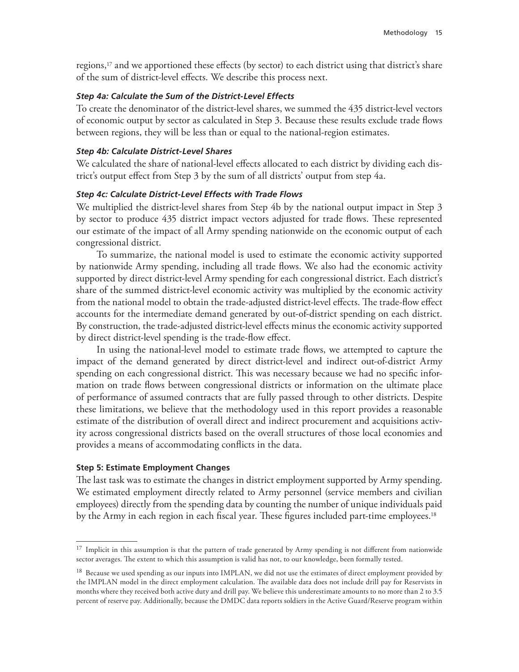regions,<sup>17</sup> and we apportioned these effects (by sector) to each district using that district's share of the sum of district-level effects. We describe this process next.

#### *Step 4a: Calculate the Sum of the District-Level Effects*

To create the denominator of the district-level shares, we summed the 435 district-level vectors of economic output by sector as calculated in Step 3. Because these results exclude trade flows between regions, they will be less than or equal to the national-region estimates.

#### *Step 4b: Calculate District-Level Shares*

We calculated the share of national-level effects allocated to each district by dividing each district's output effect from Step 3 by the sum of all districts' output from step 4a.

#### *Step 4c: Calculate District-Level Effects with Trade Flows*

We multiplied the district-level shares from Step 4b by the national output impact in Step 3 by sector to produce 435 district impact vectors adjusted for trade flows. These represented our estimate of the impact of all Army spending nationwide on the economic output of each congressional district.

To summarize, the national model is used to estimate the economic activity supported by nationwide Army spending, including all trade flows. We also had the economic activity supported by direct district-level Army spending for each congressional district. Each district's share of the summed district-level economic activity was multiplied by the economic activity from the national model to obtain the trade-adjusted district-level effects. The trade-flow effect accounts for the intermediate demand generated by out-of-district spending on each district. By construction, the trade-adjusted district-level effects minus the economic activity supported by direct district-level spending is the trade-flow effect.

In using the national-level model to estimate trade flows, we attempted to capture the impact of the demand generated by direct district-level and indirect out-of-district Army spending on each congressional district. This was necessary because we had no specific information on trade flows between congressional districts or information on the ultimate place of performance of assumed contracts that are fully passed through to other districts. Despite these limitations, we believe that the methodology used in this report provides a reasonable estimate of the distribution of overall direct and indirect procurement and acquisitions activity across congressional districts based on the overall structures of those local economies and provides a means of accommodating conflicts in the data.

#### **Step 5: Estimate Employment Changes**

The last task was to estimate the changes in district employment supported by Army spending. We estimated employment directly related to Army personnel (service members and civilian employees) directly from the spending data by counting the number of unique individuals paid by the Army in each region in each fiscal year. These figures included part-time employees.<sup>18</sup>

<sup>&</sup>lt;sup>17</sup> Implicit in this assumption is that the pattern of trade generated by Army spending is not different from nationwide sector averages. The extent to which this assumption is valid has not, to our knowledge, been formally tested.

<sup>&</sup>lt;sup>18</sup> Because we used spending as our inputs into IMPLAN, we did not use the estimates of direct employment provided by the IMPLAN model in the direct employment calculation. The available data does not include drill pay for Reservists in months where they received both active duty and drill pay. We believe this underestimate amounts to no more than 2 to 3.5 percent of reserve pay. Additionally, because the DMDC data reports soldiers in the Active Guard/Reserve program within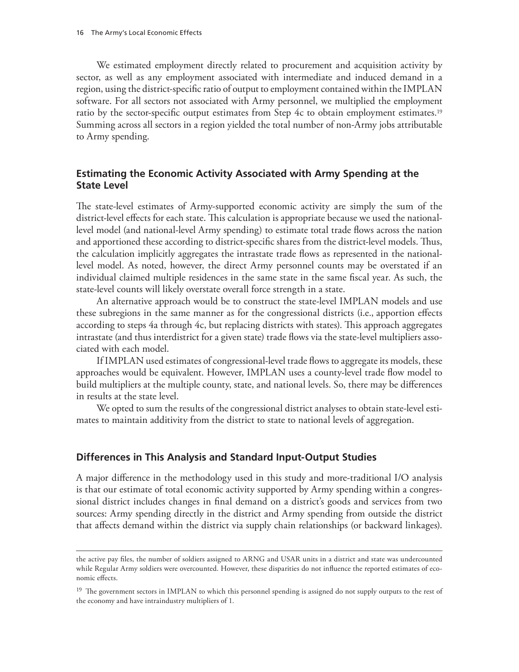We estimated employment directly related to procurement and acquisition activity by sector, as well as any employment associated with intermediate and induced demand in a region, using the district-specific ratio of output to employment contained within the IMPLAN software. For all sectors not associated with Army personnel, we multiplied the employment ratio by the sector-specific output estimates from Step 4c to obtain employment estimates.19 Summing across all sectors in a region yielded the total number of non-Army jobs attributable to Army spending.

#### **Estimating the Economic Activity Associated with Army Spending at the State Level**

The state-level estimates of Army-supported economic activity are simply the sum of the district-level effects for each state. This calculation is appropriate because we used the nationallevel model (and national-level Army spending) to estimate total trade flows across the nation and apportioned these according to district-specific shares from the district-level models. Thus, the calculation implicitly aggregates the intrastate trade flows as represented in the nationallevel model. As noted, however, the direct Army personnel counts may be overstated if an individual claimed multiple residences in the same state in the same fiscal year. As such, the state-level counts will likely overstate overall force strength in a state.

An alternative approach would be to construct the state-level IMPLAN models and use these subregions in the same manner as for the congressional districts (i.e., apportion effects according to steps 4a through 4c, but replacing districts with states). This approach aggregates intrastate (and thus interdistrict for a given state) trade flows via the state-level multipliers associated with each model.

If IMPLAN used estimates of congressional-level trade flows to aggregate its models, these approaches would be equivalent. However, IMPLAN uses a county-level trade flow model to build multipliers at the multiple county, state, and national levels. So, there may be differences in results at the state level.

We opted to sum the results of the congressional district analyses to obtain state-level estimates to maintain additivity from the district to state to national levels of aggregation.

#### **Differences in This Analysis and Standard Input-Output Studies**

A major difference in the methodology used in this study and more-traditional I/O analysis is that our estimate of total economic activity supported by Army spending within a congressional district includes changes in final demand on a district's goods and services from two sources: Army spending directly in the district and Army spending from outside the district that affects demand within the district via supply chain relationships (or backward linkages).

the active pay files, the number of soldiers assigned to ARNG and USAR units in a district and state was undercounted while Regular Army soldiers were overcounted. However, these disparities do not influence the reported estimates of economic effects.

<sup>&</sup>lt;sup>19</sup> The government sectors in IMPLAN to which this personnel spending is assigned do not supply outputs to the rest of the economy and have intraindustry multipliers of 1.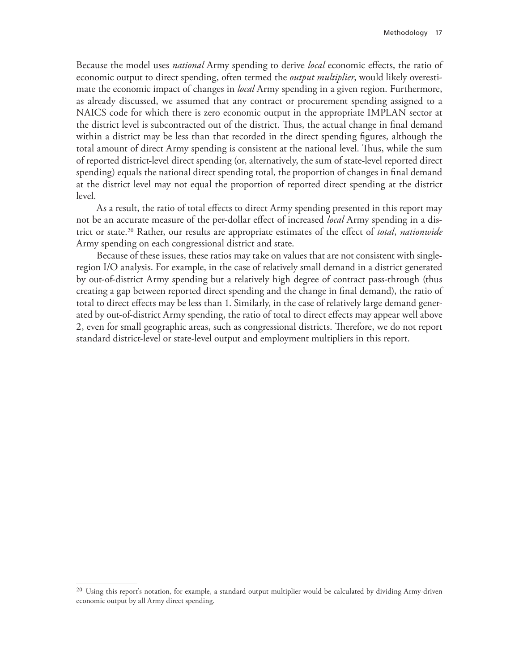Because the model uses *national* Army spending to derive *local* economic effects, the ratio of economic output to direct spending, often termed the *output multiplier*, would likely overestimate the economic impact of changes in *local* Army spending in a given region. Furthermore, as already discussed, we assumed that any contract or procurement spending assigned to a NAICS code for which there is zero economic output in the appropriate IMPLAN sector at the district level is subcontracted out of the district. Thus, the actual change in final demand within a district may be less than that recorded in the direct spending figures, although the total amount of direct Army spending is consistent at the national level. Thus, while the sum of reported district-level direct spending (or, alternatively, the sum of state-level reported direct spending) equals the national direct spending total, the proportion of changes in final demand at the district level may not equal the proportion of reported direct spending at the district level.

As a result, the ratio of total effects to direct Army spending presented in this report may not be an accurate measure of the per-dollar effect of increased *local* Army spending in a district or state.20 Rather, our results are appropriate estimates of the effect of *total*, *nationwide* Army spending on each congressional district and state.

Because of these issues, these ratios may take on values that are not consistent with singleregion I/O analysis. For example, in the case of relatively small demand in a district generated by out-of-district Army spending but a relatively high degree of contract pass-through (thus creating a gap between reported direct spending and the change in final demand), the ratio of total to direct effects may be less than 1. Similarly, in the case of relatively large demand generated by out-of-district Army spending, the ratio of total to direct effects may appear well above 2, even for small geographic areas, such as congressional districts. Therefore, we do not report standard district-level or state-level output and employment multipliers in this report.

<sup>&</sup>lt;sup>20</sup> Using this report's notation, for example, a standard output multiplier would be calculated by dividing Army-driven economic output by all Army direct spending.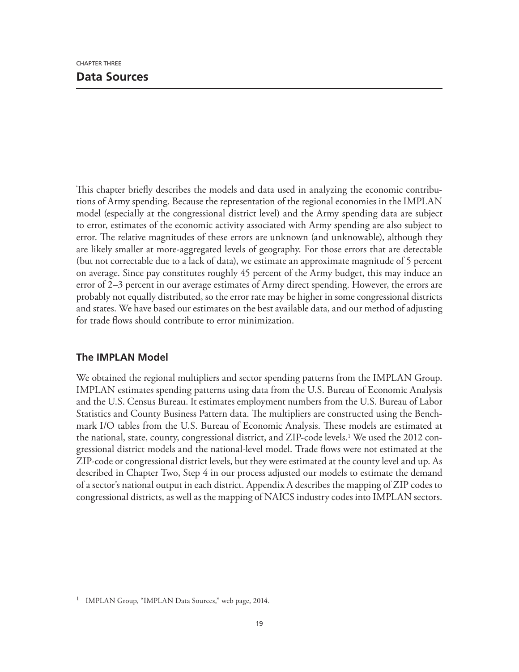This chapter briefly describes the models and data used in analyzing the economic contributions of Army spending. Because the representation of the regional economies in the IMPLAN model (especially at the congressional district level) and the Army spending data are subject to error, estimates of the economic activity associated with Army spending are also subject to error. The relative magnitudes of these errors are unknown (and unknowable), although they are likely smaller at more-aggregated levels of geography. For those errors that are detectable (but not correctable due to a lack of data), we estimate an approximate magnitude of 5 percent on average. Since pay constitutes roughly 45 percent of the Army budget, this may induce an error of 2–3 percent in our average estimates of Army direct spending. However, the errors are probably not equally distributed, so the error rate may be higher in some congressional districts and states. We have based our estimates on the best available data, and our method of adjusting for trade flows should contribute to error minimization.

#### **The IMPLAN Model**

We obtained the regional multipliers and sector spending patterns from the IMPLAN Group. IMPLAN estimates spending patterns using data from the U.S. Bureau of Economic Analysis and the U.S. Census Bureau. It estimates employment numbers from the U.S. Bureau of Labor Statistics and County Business Pattern data. The multipliers are constructed using the Benchmark I/O tables from the U.S. Bureau of Economic Analysis. These models are estimated at the national, state, county, congressional district, and ZIP-code levels.1 We used the 2012 congressional district models and the national-level model. Trade flows were not estimated at the ZIP-code or congressional district levels, but they were estimated at the county level and up. As described in Chapter Two, Step 4 in our process adjusted our models to estimate the demand of a sector's national output in each district. Appendix A describes the mapping of ZIP codes to congressional districts, as well as the mapping of NAICS industry codes into IMPLAN sectors.

<sup>&</sup>lt;sup>1</sup> IMPLAN Group, "IMPLAN Data Sources," web page, 2014.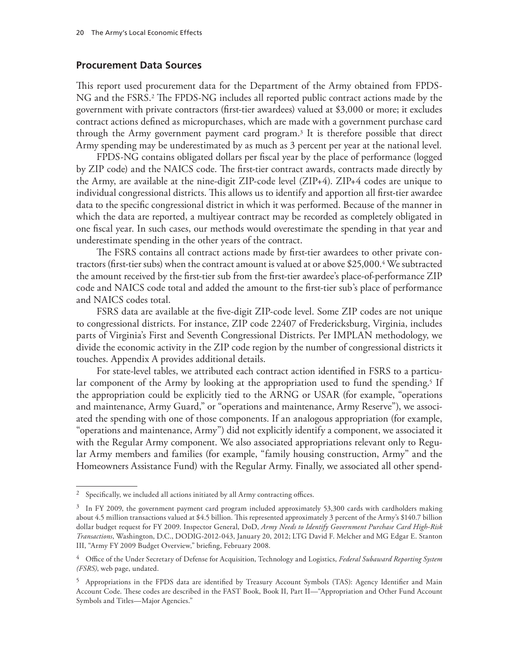#### **Procurement Data Sources**

This report used procurement data for the Department of the Army obtained from FPDS-NG and the FSRS.2 The FPDS-NG includes all reported public contract actions made by the government with private contractors (first-tier awardees) valued at \$3,000 or more; it excludes contract actions defined as micropurchases, which are made with a government purchase card through the Army government payment card program.3 It is therefore possible that direct Army spending may be underestimated by as much as 3 percent per year at the national level.

FPDS-NG contains obligated dollars per fiscal year by the place of performance (logged by ZIP code) and the NAICS code. The first-tier contract awards, contracts made directly by the Army, are available at the nine-digit ZIP-code level (ZIP+4). ZIP+4 codes are unique to individual congressional districts. This allows us to identify and apportion all first-tier awardee data to the specific congressional district in which it was performed. Because of the manner in which the data are reported, a multiyear contract may be recorded as completely obligated in one fiscal year. In such cases, our methods would overestimate the spending in that year and underestimate spending in the other years of the contract.

The FSRS contains all contract actions made by first-tier awardees to other private contractors (first-tier subs) when the contract amount is valued at or above \$25,000.4 We subtracted the amount received by the first-tier sub from the first-tier awardee's place-of-performance ZIP code and NAICS code total and added the amount to the first-tier sub's place of performance and NAICS codes total.

FSRS data are available at the five-digit ZIP-code level. Some ZIP codes are not unique to congressional districts. For instance, ZIP code 22407 of Fredericksburg, Virginia, includes parts of Virginia's First and Seventh Congressional Districts. Per IMPLAN methodology, we divide the economic activity in the ZIP code region by the number of congressional districts it touches. Appendix A provides additional details.

For state-level tables, we attributed each contract action identified in FSRS to a particular component of the Army by looking at the appropriation used to fund the spending.<sup>5</sup> If the appropriation could be explicitly tied to the ARNG or USAR (for example, "operations and maintenance, Army Guard," or "operations and maintenance, Army Reserve"), we associated the spending with one of those components. If an analogous appropriation (for example, "operations and maintenance, Army") did not explicitly identify a component, we associated it with the Regular Army component. We also associated appropriations relevant only to Regular Army members and families (for example, "family housing construction, Army" and the Homeowners Assistance Fund) with the Regular Army. Finally, we associated all other spend-

<sup>&</sup>lt;sup>2</sup> Specifically, we included all actions initiated by all Army contracting offices.

 $3$  In FY 2009, the government payment card program included approximately 53,300 cards with cardholders making about 4.5 million transactions valued at \$4.5 billion. This represented approximately 3 percent of the Army's \$140.7 billion dollar budget request for FY 2009. Inspector General, DoD, *Army Needs to Identify Government Purchase Card High-Risk Transactions*, Washington, D.C., DODIG-2012-043, January 20, 2012; LTG David F. Melcher and MG Edgar E. Stanton III, "Army FY 2009 Budget Overview," briefing, February 2008.

<sup>4</sup> Office of the Under Secretary of Defense for Acquisition, Technology and Logistics, *Federal Subaward Reporting System (FSRS)*, web page, undated.

<sup>5</sup> Appropriations in the FPDS data are identified by Treasury Account Symbols (TAS): Agency Identifier and Main Account Code. These codes are described in the FAST Book, Book II, Part II—"Appropriation and Other Fund Account Symbols and Titles—Major Agencies."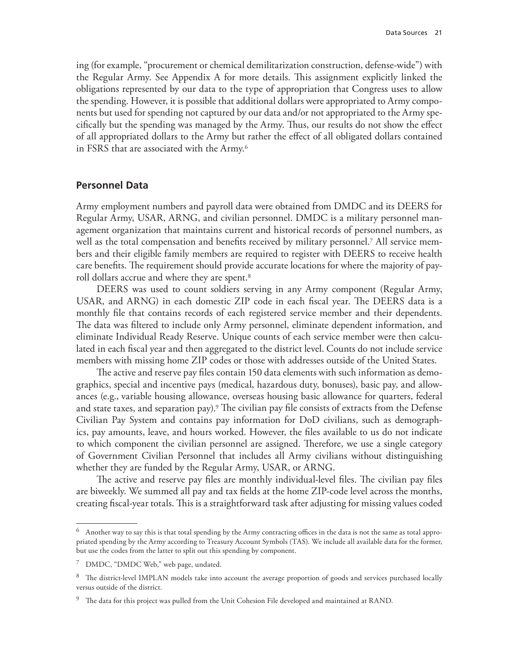ing (for example, "procurement or chemical demilitarization construction, defense-wide") with the Regular Army. See Appendix A for more details. This assignment explicitly linked the obligations represented by our data to the type of appropriation that Congress uses to allow the spending. However, it is possible that additional dollars were appropriated to Army components but used for spending not captured by our data and/or not appropriated to the Army specifically but the spending was managed by the Army. Thus, our results do not show the effect of all appropriated dollars to the Army but rather the effect of all obligated dollars contained in FSRS that are associated with the Army.<sup>6</sup>

#### **Personnel Data**

Army employment numbers and payroll data were obtained from DMDC and its DEERS for Regular Army, USAR, ARNG, and civilian personnel. DMDC is a military personnel management organization that maintains current and historical records of personnel numbers, as well as the total compensation and benefits received by military personnel.<sup>7</sup> All service members and their eligible family members are required to register with DEERS to receive health care benefits. The requirement should provide accurate locations for where the majority of payroll dollars accrue and where they are spent.<sup>8</sup>

DEERS was used to count soldiers serving in any Army component (Regular Army, USAR, and ARNG) in each domestic ZIP code in each fiscal year. The DEERS data is a monthly file that contains records of each registered service member and their dependents. The data was filtered to include only Army personnel, eliminate dependent information, and eliminate Individual Ready Reserve. Unique counts of each service member were then calculated in each fiscal year and then aggregated to the district level. Counts do not include service members with missing home ZIP codes or those with addresses outside of the United States.

The active and reserve pay files contain 150 data elements with such information as demographics, special and incentive pays (medical, hazardous duty, bonuses), basic pay, and allowances (e.g., variable housing allowance, overseas housing basic allowance for quarters, federal and state taxes, and separation pay).9 The civilian pay file consists of extracts from the Defense Civilian Pay System and contains pay information for DoD civilians, such as demographics, pay amounts, leave, and hours worked. However, the files available to us do not indicate to which component the civilian personnel are assigned. Therefore, we use a single category of Government Civilian Personnel that includes all Army civilians without distinguishing whether they are funded by the Regular Army, USAR, or ARNG.

The active and reserve pay files are monthly individual-level files. The civilian pay files are biweekly. We summed all pay and tax fields at the home ZIP-code level across the months, creating fiscal-year totals. This is a straightforward task after adjusting for missing values coded

<sup>6</sup> Another way to say this is that total spending by the Army contracting offices in the data is not the same as total appropriated spending by the Army according to Treasury Account Symbols (TAS). We include all available data for the former, but use the codes from the latter to split out this spending by component.

<sup>&</sup>lt;sup>7</sup> DMDC, "DMDC Web," web page, undated.

<sup>&</sup>lt;sup>8</sup> The district-level IMPLAN models take into account the average proportion of goods and services purchased locally versus outside of the district.

<sup>&</sup>lt;sup>9</sup> The data for this project was pulled from the Unit Cohesion File developed and maintained at RAND.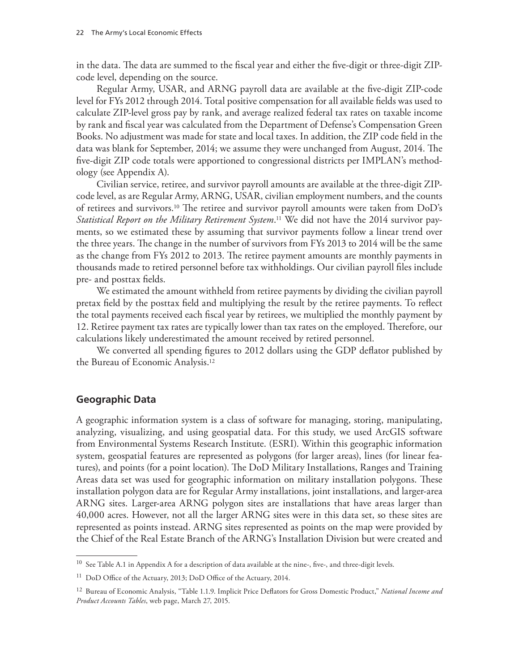in the data. The data are summed to the fiscal year and either the five-digit or three-digit ZIPcode level, depending on the source.

Regular Army, USAR, and ARNG payroll data are available at the five-digit ZIP-code level for FYs 2012 through 2014. Total positive compensation for all available fields was used to calculate ZIP-level gross pay by rank, and average realized federal tax rates on taxable income by rank and fiscal year was calculated from the Department of Defense's Compensation Green Books. No adjustment was made for state and local taxes. In addition, the ZIP code field in the data was blank for September, 2014; we assume they were unchanged from August, 2014. The five-digit ZIP code totals were apportioned to congressional districts per IMPLAN's methodology (see Appendix A).

Civilian service, retiree, and survivor payroll amounts are available at the three-digit ZIPcode level, as are Regular Army, ARNG, USAR, civilian employment numbers, and the counts of retirees and survivors.10 The retiree and survivor payroll amounts were taken from DoD's *Statistical Report on the Military Retirement System*. 11 We did not have the 2014 survivor payments, so we estimated these by assuming that survivor payments follow a linear trend over the three years. The change in the number of survivors from FYs 2013 to 2014 will be the same as the change from FYs 2012 to 2013. The retiree payment amounts are monthly payments in thousands made to retired personnel before tax withholdings. Our civilian payroll files include pre- and posttax fields.

We estimated the amount withheld from retiree payments by dividing the civilian payroll pretax field by the posttax field and multiplying the result by the retiree payments. To reflect the total payments received each fiscal year by retirees, we multiplied the monthly payment by 12. Retiree payment tax rates are typically lower than tax rates on the employed. Therefore, our calculations likely underestimated the amount received by retired personnel.

We converted all spending figures to 2012 dollars using the GDP deflator published by the Bureau of Economic Analysis.12

#### **Geographic Data**

A geographic information system is a class of software for managing, storing, manipulating, analyzing, visualizing, and using geospatial data. For this study, we used ArcGIS software from Environmental Systems Research Institute. (ESRI). Within this geographic information system, geospatial features are represented as polygons (for larger areas), lines (for linear features), and points (for a point location). The DoD Military Installations, Ranges and Training Areas data set was used for geographic information on military installation polygons. These installation polygon data are for Regular Army installations, joint installations, and larger-area ARNG sites. Larger-area ARNG polygon sites are installations that have areas larger than 40,000 acres. However, not all the larger ARNG sites were in this data set, so these sites are represented as points instead. ARNG sites represented as points on the map were provided by the Chief of the Real Estate Branch of the ARNG's Installation Division but were created and

<sup>&</sup>lt;sup>10</sup> See Table A.1 in Appendix A for a description of data available at the nine-, five-, and three-digit levels.

<sup>11</sup> DoD Office of the Actuary, 2013; DoD Office of the Actuary, 2014.

<sup>12</sup> Bureau of Economic Analysis, "Table 1.1.9. Implicit Price Deflators for Gross Domestic Product," *National Income and Product Accounts Tables*, web page, March 27, 2015.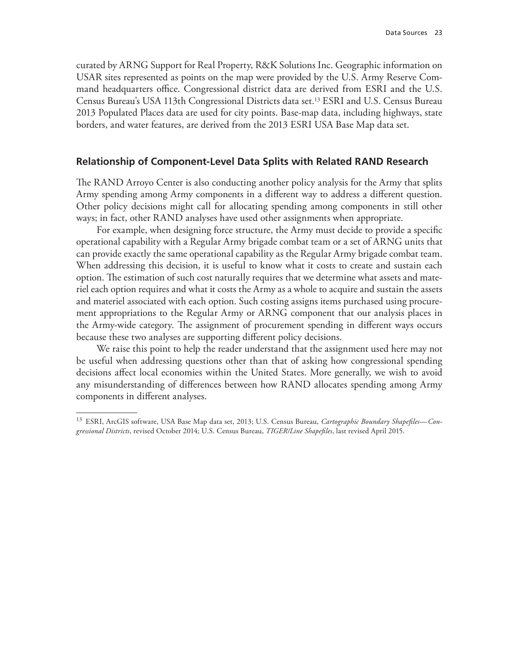curated by ARNG Support for Real Property, R&K Solutions Inc. Geographic information on USAR sites represented as points on the map were provided by the U.S. Army Reserve Command headquarters office. Congressional district data are derived from ESRI and the U.S. Census Bureau's USA 113th Congressional Districts data set.13 ESRI and U.S. Census Bureau 2013 Populated Places data are used for city points. Base-map data, including highways, state borders, and water features, are derived from the 2013 ESRI USA Base Map data set.

#### **Relationship of Component-Level Data Splits with Related RAND Research**

The RAND Arroyo Center is also conducting another policy analysis for the Army that splits Army spending among Army components in a different way to address a different question. Other policy decisions might call for allocating spending among components in still other ways; in fact, other RAND analyses have used other assignments when appropriate.

For example, when designing force structure, the Army must decide to provide a specific operational capability with a Regular Army brigade combat team or a set of ARNG units that can provide exactly the same operational capability as the Regular Army brigade combat team. When addressing this decision, it is useful to know what it costs to create and sustain each option. The estimation of such cost naturally requires that we determine what assets and materiel each option requires and what it costs the Army as a whole to acquire and sustain the assets and materiel associated with each option. Such costing assigns items purchased using procurement appropriations to the Regular Army or ARNG component that our analysis places in the Army-wide category. The assignment of procurement spending in different ways occurs because these two analyses are supporting different policy decisions.

We raise this point to help the reader understand that the assignment used here may not be useful when addressing questions other than that of asking how congressional spending decisions affect local economies within the United States. More generally, we wish to avoid any misunderstanding of differences between how RAND allocates spending among Army components in different analyses.

<sup>13</sup> ESRI, ArcGIS software, USA Base Map data set, 2013; U.S. Census Bureau, *Cartographic Boundary Shapefiles—Congressional Districts*, revised October 2014; U.S. Census Bureau, *TIGER/Line Shapefiles*, last revised April 2015.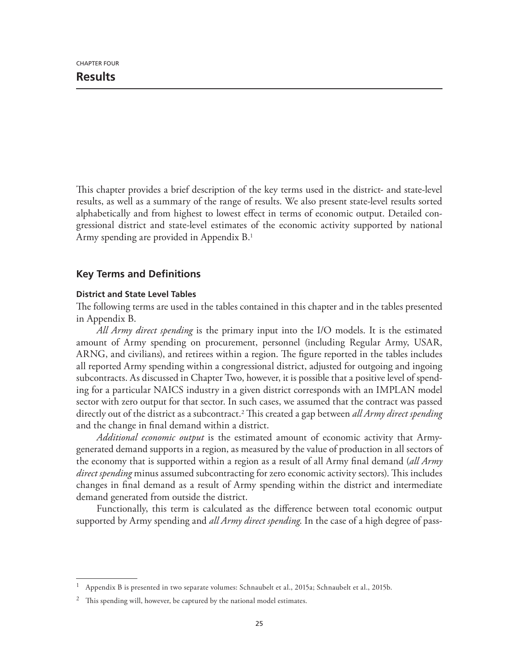#### **Results**

This chapter provides a brief description of the key terms used in the district- and state-level results, as well as a summary of the range of results. We also present state-level results sorted alphabetically and from highest to lowest effect in terms of economic output. Detailed congressional district and state-level estimates of the economic activity supported by national Army spending are provided in Appendix B.1

#### **Key Terms and Definitions**

#### **District and State Level Tables**

The following terms are used in the tables contained in this chapter and in the tables presented in Appendix B.

*All Army direct spending* is the primary input into the I/O models. It is the estimated amount of Army spending on procurement, personnel (including Regular Army, USAR, ARNG, and civilians), and retirees within a region. The figure reported in the tables includes all reported Army spending within a congressional district, adjusted for outgoing and ingoing subcontracts. As discussed in Chapter Two, however, it is possible that a positive level of spending for a particular NAICS industry in a given district corresponds with an IMPLAN model sector with zero output for that sector. In such cases, we assumed that the contract was passed directly out of the district as a subcontract.2 This created a gap between *all Army direct spending* and the change in final demand within a district.

*Additional economic output* is the estimated amount of economic activity that Armygenerated demand supports in a region, as measured by the value of production in all sectors of the economy that is supported within a region as a result of all Army final demand (*all Army direct spending* minus assumed subcontracting for zero economic activity sectors). This includes changes in final demand as a result of Army spending within the district and intermediate demand generated from outside the district.

Functionally, this term is calculated as the difference between total economic output supported by Army spending and *all Army direct spending*. In the case of a high degree of pass-

<sup>1</sup> Appendix B is presented in two separate volumes: Schnaubelt et al., 2015a; Schnaubelt et al., 2015b.

 $2$  This spending will, however, be captured by the national model estimates.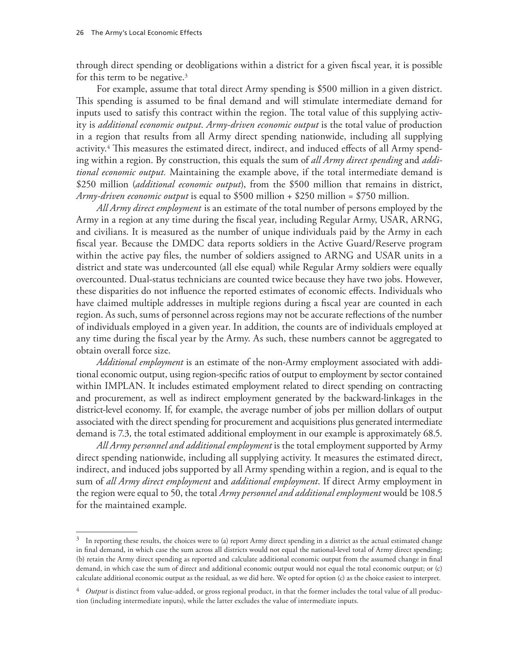through direct spending or deobligations within a district for a given fiscal year, it is possible for this term to be negative.3

For example, assume that total direct Army spending is \$500 million in a given district. This spending is assumed to be final demand and will stimulate intermediate demand for inputs used to satisfy this contract within the region. The total value of this supplying activity is *additional economic output*. *Army-driven economic output* is the total value of production in a region that results from all Army direct spending nationwide, including all supplying activity.<sup>4</sup> This measures the estimated direct, indirect, and induced effects of all Army spending within a region. By construction, this equals the sum of *all Army direct spending* and *additional economic output.* Maintaining the example above, if the total intermediate demand is \$250 million (*additional economic output*), from the \$500 million that remains in district, *Army-driven economic output* is equal to \$500 million + \$250 million = \$750 million.

*All Army direct employment* is an estimate of the total number of persons employed by the Army in a region at any time during the fiscal year, including Regular Army, USAR, ARNG, and civilians. It is measured as the number of unique individuals paid by the Army in each fiscal year. Because the DMDC data reports soldiers in the Active Guard/Reserve program within the active pay files, the number of soldiers assigned to ARNG and USAR units in a district and state was undercounted (all else equal) while Regular Army soldiers were equally overcounted. Dual-status technicians are counted twice because they have two jobs. However, these disparities do not influence the reported estimates of economic effects. Individuals who have claimed multiple addresses in multiple regions during a fiscal year are counted in each region. As such, sums of personnel across regions may not be accurate reflections of the number of individuals employed in a given year. In addition, the counts are of individuals employed at any time during the fiscal year by the Army. As such, these numbers cannot be aggregated to obtain overall force size.

*Additional employment* is an estimate of the non-Army employment associated with additional economic output, using region-specific ratios of output to employment by sector contained within IMPLAN. It includes estimated employment related to direct spending on contracting and procurement, as well as indirect employment generated by the backward-linkages in the district-level economy. If, for example, the average number of jobs per million dollars of output associated with the direct spending for procurement and acquisitions plus generated intermediate demand is 7.3, the total estimated additional employment in our example is approximately 68.5.

*All Army personnel and additional employment* is the total employment supported by Army direct spending nationwide, including all supplying activity. It measures the estimated direct, indirect, and induced jobs supported by all Army spending within a region, and is equal to the sum of *all Army direct employment* and *additional employment*. If direct Army employment in the region were equal to 50, the total *Army personnel and additional employment* would be 108.5 for the maintained example.

 $3$  In reporting these results, the choices were to (a) report Army direct spending in a district as the actual estimated change in final demand, in which case the sum across all districts would not equal the national-level total of Army direct spending; (b) retain the Army direct spending as reported and calculate additional economic output from the assumed change in final demand, in which case the sum of direct and additional economic output would not equal the total economic output; or (c) calculate additional economic output as the residual, as we did here. We opted for option (c) as the choice easiest to interpret.

<sup>4</sup> *Output* is distinct from value-added, or gross regional product, in that the former includes the total value of all production (including intermediate inputs), while the latter excludes the value of intermediate inputs.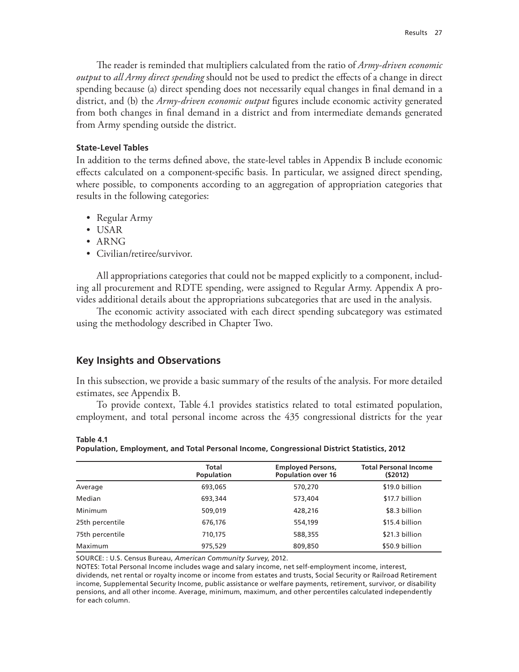The reader is reminded that multipliers calculated from the ratio of *Army-driven economic output* to *all Army direct spending* should not be used to predict the effects of a change in direct spending because (a) direct spending does not necessarily equal changes in final demand in a district, and (b) the *Army-driven economic output* figures include economic activity generated from both changes in final demand in a district and from intermediate demands generated from Army spending outside the district.

#### **State-Level Tables**

In addition to the terms defined above, the state-level tables in Appendix B include economic effects calculated on a component-specific basis. In particular, we assigned direct spending, where possible, to components according to an aggregation of appropriation categories that results in the following categories:

- Regular Army
- USAR
- ARNG
- Civilian/retiree/survivor.

All appropriations categories that could not be mapped explicitly to a component, including all procurement and RDTE spending, were assigned to Regular Army. Appendix A provides additional details about the appropriations subcategories that are used in the analysis.

The economic activity associated with each direct spending subcategory was estimated using the methodology described in Chapter Two.

#### **Key Insights and Observations**

In this subsection, we provide a basic summary of the results of the analysis. For more detailed estimates, see Appendix B.

To provide context, Table 4.1 provides statistics related to total estimated population, employment, and total personal income across the 435 congressional districts for the year

| <b>Total</b><br><b>Employed Persons,</b>       | <b>Total Personal Income</b> |
|------------------------------------------------|------------------------------|
| <b>Population over 16</b><br><b>Population</b> | (52012)                      |
| 693,065<br>570,270<br>Average                  | \$19.0 billion               |
| Median<br>693,344<br>573,404                   | \$17.7 billion               |
| Minimum<br>509,019<br>428,216                  | \$8.3 billion                |
| 25th percentile<br>676,176<br>554,199          | \$15.4 billion               |
| 75th percentile<br>588,355<br>710,175          | \$21.3 billion               |
| Maximum<br>975,529<br>809,850                  | \$50.9 billion               |

**Table 4.1 Population, Employment, and Total Personal Income, Congressional District Statistics, 2012**

SOURCE: : U.S. Census Bureau, *American Community Survey*, 2012.

NOTES: Total Personal Income includes wage and salary income, net self-employment income, interest, dividends, net rental or royalty income or income from estates and trusts, Social Security or Railroad Retirement income, Supplemental Security Income, public assistance or welfare payments, retirement, survivor, or disability pensions, and all other income. Average, minimum, maximum, and other percentiles calculated independently for each column.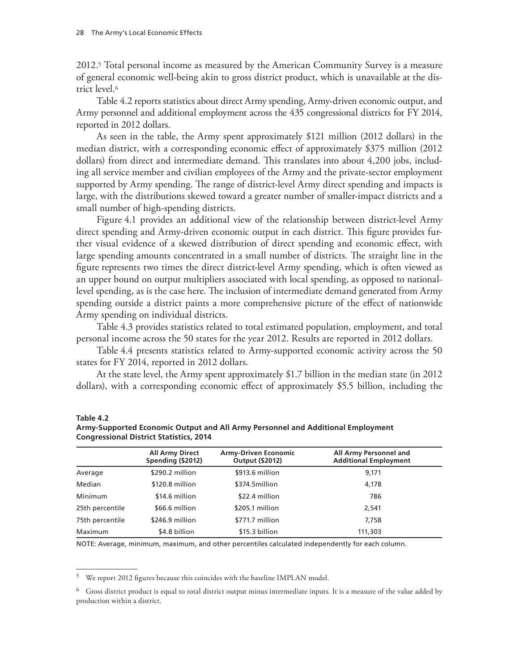2012.5 Total personal income as measured by the American Community Survey is a measure of general economic well-being akin to gross district product, which is unavailable at the district level.<sup>6</sup>

Table 4.2 reports statistics about direct Army spending, Army-driven economic output, and Army personnel and additional employment across the 435 congressional districts for FY 2014, reported in 2012 dollars.

As seen in the table, the Army spent approximately \$121 million (2012 dollars) in the median district, with a corresponding economic effect of approximately \$375 million (2012 dollars) from direct and intermediate demand. This translates into about 4,200 jobs, including all service member and civilian employees of the Army and the private-sector employment supported by Army spending. The range of district-level Army direct spending and impacts is large, with the distributions skewed toward a greater number of smaller-impact districts and a small number of high-spending districts.

Figure 4.1 provides an additional view of the relationship between district-level Army direct spending and Army-driven economic output in each district. This figure provides further visual evidence of a skewed distribution of direct spending and economic effect, with large spending amounts concentrated in a small number of districts. The straight line in the figure represents two times the direct district-level Army spending, which is often viewed as an upper bound on output multipliers associated with local spending, as opposed to nationallevel spending, as is the case here. The inclusion of intermediate demand generated from Army spending outside a district paints a more comprehensive picture of the effect of nationwide Army spending on individual districts.

Table 4.3 provides statistics related to total estimated population, employment, and total personal income across the 50 states for the year 2012. Results are reported in 2012 dollars.

Table 4.4 presents statistics related to Army-supported economic activity across the 50 states for FY 2014, reported in 2012 dollars.

At the state level, the Army spent approximately \$1.7 billion in the median state (in 2012 dollars), with a corresponding economic effect of approximately \$5.5 billion, including the

|                 | Congressional District Statistics, Zo IT    |                                                       |                                                        |  |
|-----------------|---------------------------------------------|-------------------------------------------------------|--------------------------------------------------------|--|
|                 | <b>All Army Direct</b><br>Spending (\$2012) | <b>Army-Driven Economic</b><br><b>Output (\$2012)</b> | All Army Personnel and<br><b>Additional Employment</b> |  |
| Average         | \$290.2 million                             | \$913.6 million                                       | 9,171                                                  |  |
| Median          | \$120.8 million                             | \$374.5million                                        | 4,178                                                  |  |
| <b>Minimum</b>  | \$14.6 million                              | \$22.4 million                                        | 786                                                    |  |
| 25th percentile | \$66.6 million                              | \$205.1 million                                       | 2,541                                                  |  |
| 75th percentile | $$246.9$ million                            | \$771.7 million                                       | 7,758                                                  |  |
| Maximum         | \$4.8 billion                               | \$15.3 billion                                        | 111,303                                                |  |

#### **Table 4.2**

**Army-Supported Economic Output and All Army Personnel and Additional Employment Congressional District Statistics, 2014**

NOTE: Average, minimum, maximum, and other percentiles calculated independently for each column.

<sup>5</sup> We report 2012 figures because this coincides with the baseline IMPLAN model.

 $^6$  Gross district product is equal to total district output minus intermediate inputs. It is a measure of the value added by production within a district.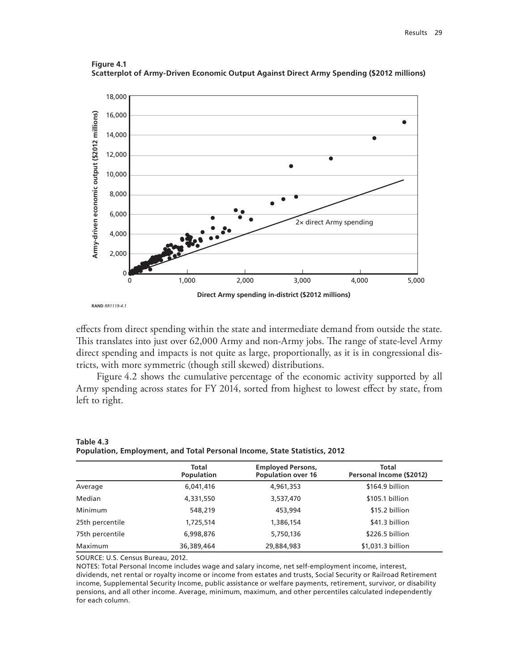

**Figure 4.1 Scatterplot of Army-Driven Economic Output Against Direct Army Spending (\$2012 millions)**

effects from direct spending within the state and intermediate demand from outside the state. This translates into just over 62,000 Army and non-Army jobs. The range of state-level Army direct spending and impacts is not quite as large, proportionally, as it is in congressional districts, with more symmetric (though still skewed) distributions.

Figure 4.2 shows the cumulative percentage of the economic activity supported by all Army spending across states for FY 2014, sorted from highest to lowest effect by state, from left to right.

|                 | <b>Total</b><br><b>Population</b> | <b>Employed Persons,</b><br><b>Population over 16</b> | Total<br>Personal Income (\$2012) |
|-----------------|-----------------------------------|-------------------------------------------------------|-----------------------------------|
| Average         | 6,041,416                         | 4,961,353                                             | \$164.9 billion                   |
| Median          | 4,331,550                         | 3,537,470                                             | \$105.1 billion                   |
| Minimum         | 548,219                           | 453,994                                               | \$15.2 billion                    |
| 25th percentile | 1,725,514                         | 1,386,154                                             | \$41.3 billion                    |
| 75th percentile | 6,998,876                         | 5,750,136                                             | \$226.5 billion                   |
| Maximum         | 36,389,464                        | 29,884,983                                            | \$1,031.3 billion                 |
|                 |                                   |                                                       |                                   |

| Table 4.3                                                                 |  |
|---------------------------------------------------------------------------|--|
| Population, Employment, and Total Personal Income, State Statistics, 2012 |  |

SOURCE: U.S. Census Bureau, 2012.

NOTES: Total Personal Income includes wage and salary income, net self-employment income, interest, dividends, net rental or royalty income or income from estates and trusts, Social Security or Railroad Retirement income, Supplemental Security Income, public assistance or welfare payments, retirement, survivor, or disability pensions, and all other income. Average, minimum, maximum, and other percentiles calculated independently for each column.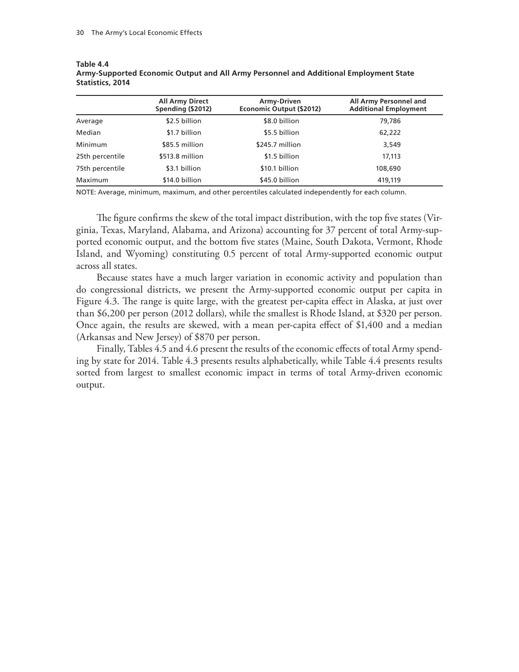|                 | <b>All Army Direct</b><br>Spending (\$2012) | <b>Army-Driven</b><br>Economic Output (\$2012) | All Army Personnel and<br><b>Additional Employment</b> |
|-----------------|---------------------------------------------|------------------------------------------------|--------------------------------------------------------|
| Average         | \$2.5 billion                               | \$8.0 billion                                  | 79,786                                                 |
| Median          | \$1.7 billion                               | \$5.5 billion                                  | 62,222                                                 |
| Minimum         | \$85.5 million                              | \$245.7 million                                | 3,549                                                  |
| 25th percentile | \$513.8 million                             | \$1.5 billion                                  | 17,113                                                 |
| 75th percentile | \$3.1 billion                               | \$10.1 billion                                 | 108,690                                                |
| Maximum         | \$14.0 billion                              | \$45.0 billion                                 | 419,119                                                |

#### **Table 4.4 Army-Supported Economic Output and All Army Personnel and Additional Employment State Statistics, 2014**

NOTE: Average, minimum, maximum, and other percentiles calculated independently for each column.

The figure confirms the skew of the total impact distribution, with the top five states (Virginia, Texas, Maryland, Alabama, and Arizona) accounting for 37 percent of total Army-supported economic output, and the bottom five states (Maine, South Dakota, Vermont, Rhode Island, and Wyoming) constituting 0.5 percent of total Army-supported economic output across all states.

Because states have a much larger variation in economic activity and population than do congressional districts, we present the Army-supported economic output per capita in Figure 4.3. The range is quite large, with the greatest per-capita effect in Alaska, at just over than \$6,200 per person (2012 dollars), while the smallest is Rhode Island, at \$320 per person. Once again, the results are skewed, with a mean per-capita effect of \$1,400 and a median (Arkansas and New Jersey) of \$870 per person.

Finally, Tables 4.5 and 4.6 present the results of the economic effects of total Army spending by state for 2014. Table 4.3 presents results alphabetically, while Table 4.4 presents results sorted from largest to smallest economic impact in terms of total Army-driven economic output.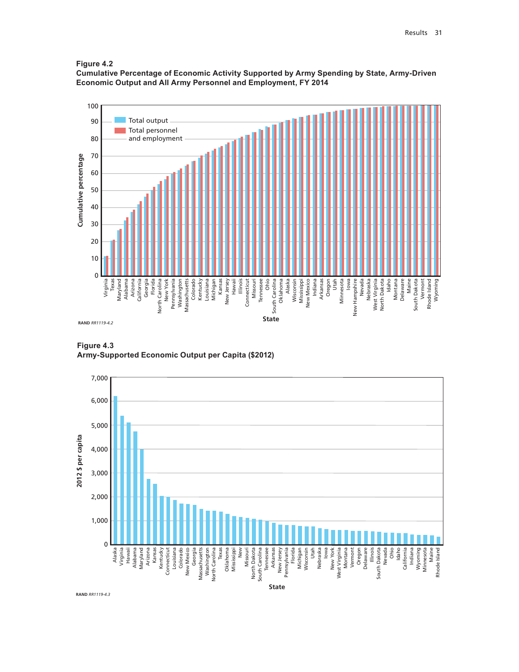**Figure 4.2**

**Cumulative Percentage of Economic Activity Supported by Army Spending by State, Army-Driven Economic Output and All Army Personnel and Employment, FY 2014**



**Figure 4.3 Army-Supported Economic Output per Capita (\$2012)**



**RAND** *RR1119-4.3*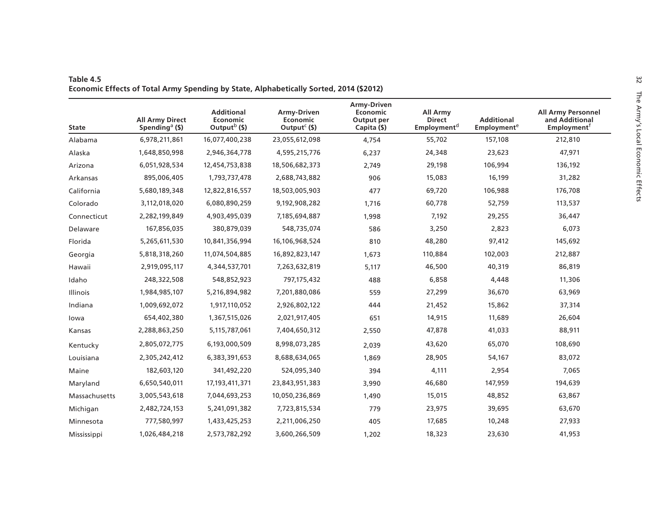|               |                                                      | <b>Additional</b>                    | Army-Driven                 | Army-Driven<br>Economic   | <b>All Army</b>                          |                                              | <b>All Army Personnel</b>                 |
|---------------|------------------------------------------------------|--------------------------------------|-----------------------------|---------------------------|------------------------------------------|----------------------------------------------|-------------------------------------------|
| <b>State</b>  | <b>All Army Direct</b><br>Spending <sup>a</sup> (\$) | Economic<br>Output <sup>b</sup> (\$) | Economic<br>Output $c$ (\$) | Output per<br>Capita (\$) | <b>Direct</b><br>Employment <sup>d</sup> | <b>Additional</b><br>Employment <sup>e</sup> | and Additional<br>Employment <sup>†</sup> |
| Alabama       | 6,978,211,861                                        | 16,077,400,238                       | 23,055,612,098              | 4,754                     | 55,702                                   | 157,108                                      | 212,810                                   |
| Alaska        | 1,648,850,998                                        | 2,946,364,778                        | 4,595,215,776               | 6,237                     | 24,348                                   | 23,623                                       | 47,971                                    |
| Arizona       | 6,051,928,534                                        | 12,454,753,838                       | 18,506,682,373              | 2,749                     | 29,198                                   | 106,994                                      | 136,192                                   |
| Arkansas      | 895,006,405                                          | 1,793,737,478                        | 2,688,743,882               | 906                       | 15,083                                   | 16,199                                       | 31,282                                    |
| California    | 5,680,189,348                                        | 12,822,816,557                       | 18,503,005,903              | 477                       | 69,720                                   | 106,988                                      | 176,708                                   |
| Colorado      | 3,112,018,020                                        | 6,080,890,259                        | 9,192,908,282               | 1,716                     | 60,778                                   | 52,759                                       | 113,537                                   |
| Connecticut   | 2,282,199,849                                        | 4,903,495,039                        | 7,185,694,887               | 1,998                     | 7,192                                    | 29,255                                       | 36,447                                    |
| Delaware      | 167,856,035                                          | 380,879,039                          | 548,735,074                 | 586                       | 3,250                                    | 2,823                                        | 6,073                                     |
| Florida       | 5,265,611,530                                        | 10,841,356,994                       | 16,106,968,524              | 810                       | 48,280                                   | 97,412                                       | 145,692                                   |
| Georgia       | 5,818,318,260                                        | 11,074,504,885                       | 16,892,823,147              | 1,673                     | 110,884                                  | 102,003                                      | 212,887                                   |
| Hawaii        | 2,919,095,117                                        | 4,344,537,701                        | 7,263,632,819               | 5,117                     | 46,500                                   | 40,319                                       | 86,819                                    |
| Idaho         | 248,322,508                                          | 548,852,923                          | 797,175,432                 | 488                       | 6,858                                    | 4,448                                        | 11,306                                    |
| Illinois      | 1,984,985,107                                        | 5,216,894,982                        | 7,201,880,086               | 559                       | 27,299                                   | 36,670                                       | 63,969                                    |
| Indiana       | 1,009,692,072                                        | 1,917,110,052                        | 2,926,802,122               | 444                       | 21,452                                   | 15,862                                       | 37,314                                    |
| lowa          | 654,402,380                                          | 1,367,515,026                        | 2,021,917,405               | 651                       | 14,915                                   | 11,689                                       | 26,604                                    |
| Kansas        | 2,288,863,250                                        | 5,115,787,061                        | 7,404,650,312               | 2,550                     | 47,878                                   | 41,033                                       | 88,911                                    |
| Kentucky      | 2,805,072,775                                        | 6,193,000,509                        | 8,998,073,285               | 2,039                     | 43,620                                   | 65,070                                       | 108,690                                   |
| Louisiana     | 2,305,242,412                                        | 6,383,391,653                        | 8,688,634,065               | 1,869                     | 28,905                                   | 54,167                                       | 83,072                                    |
| Maine         | 182,603,120                                          | 341,492,220                          | 524,095,340                 | 394                       | 4,111                                    | 2,954                                        | 7,065                                     |
| Maryland      | 6,650,540,011                                        | 17,193,411,371                       | 23,843,951,383              | 3,990                     | 46,680                                   | 147,959                                      | 194,639                                   |
| Massachusetts | 3,005,543,618                                        | 7,044,693,253                        | 10,050,236,869              | 1,490                     | 15,015                                   | 48,852                                       | 63,867                                    |
| Michigan      | 2,482,724,153                                        | 5,241,091,382                        | 7,723,815,534               | 779                       | 23,975                                   | 39,695                                       | 63,670                                    |
| Minnesota     | 777,580,997                                          | 1,433,425,253                        | 2,211,006,250               | 405                       | 17,685                                   | 10,248                                       | 27,933                                    |
| Mississippi   | 1,026,484,218                                        | 2,573,782,292                        | 3,600,266,509               | 1,202                     | 18,323                                   | 23,630                                       | 41,953                                    |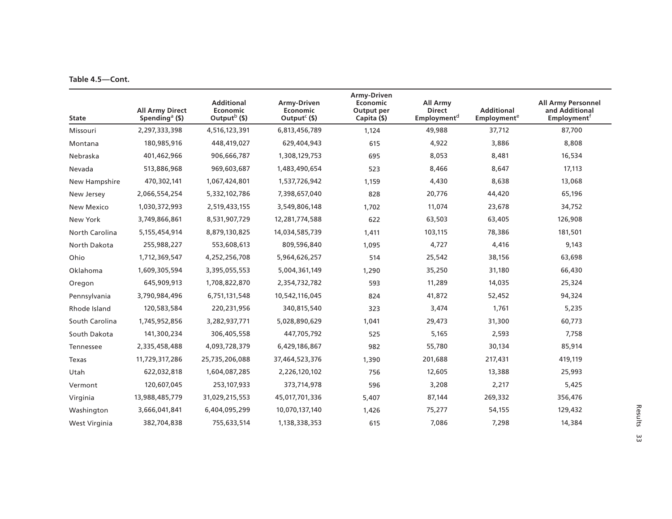| Table 4.5-Cont. |  |  |  |  |
|-----------------|--|--|--|--|
|-----------------|--|--|--|--|

| <b>State</b>          | <b>All Army Direct</b><br>Spending <sup>a</sup> (\$) | <b>Additional</b><br><b>Economic</b><br>Output <sup>b</sup> (\$) | Army-Driven<br><b>Economic</b><br>Output <sup><math>c</math></sup> (\$) | Army-Driven<br><b>Economic</b><br>Output per<br>Capita (\$) | <b>All Army</b><br><b>Direct</b><br>Employment <sup>d</sup> | <b>Additional</b><br>Employment <sup>e</sup> | <b>All Army Personnel</b><br>and Additional<br>Employment <sup>†</sup> |
|-----------------------|------------------------------------------------------|------------------------------------------------------------------|-------------------------------------------------------------------------|-------------------------------------------------------------|-------------------------------------------------------------|----------------------------------------------|------------------------------------------------------------------------|
| Missouri              | 2,297,333,398                                        | 4,516,123,391                                                    | 6,813,456,789                                                           | 1,124                                                       | 49,988                                                      | 37,712                                       | 87,700                                                                 |
| Montana               | 180,985,916                                          | 448,419,027                                                      | 629,404,943                                                             | 615                                                         | 4,922                                                       | 3,886                                        | 8,808                                                                  |
| Nebraska              | 401,462,966                                          | 906,666,787                                                      | 1,308,129,753                                                           | 695                                                         | 8,053                                                       | 8,481                                        | 16,534                                                                 |
| Nevada                | 513,886,968                                          | 969,603,687                                                      | 1,483,490,654                                                           | 523                                                         | 8,466                                                       | 8,647                                        | 17,113                                                                 |
| New Hampshire         | 470,302,141                                          | 1,067,424,801                                                    | 1,537,726,942                                                           | 1,159                                                       | 4,430                                                       | 8,638                                        | 13,068                                                                 |
| New Jersey            | 2,066,554,254                                        | 5,332,102,786                                                    | 7,398,657,040                                                           | 828                                                         | 20,776                                                      | 44,420                                       | 65,196                                                                 |
| <b>New Mexico</b>     | 1,030,372,993                                        | 2,519,433,155                                                    | 3,549,806,148                                                           | 1,702                                                       | 11,074                                                      | 23,678                                       | 34,752                                                                 |
| <b>New York</b>       | 3,749,866,861                                        | 8,531,907,729                                                    | 12,281,774,588                                                          | 622                                                         | 63,503                                                      | 63,405                                       | 126,908                                                                |
| <b>North Carolina</b> | 5,155,454,914                                        | 8,879,130,825                                                    | 14,034,585,739                                                          | 1.411                                                       | 103,115                                                     | 78,386                                       | 181,501                                                                |
| North Dakota          | 255,988,227                                          | 553,608,613                                                      | 809,596,840                                                             | 1,095                                                       | 4,727                                                       | 4,416                                        | 9,143                                                                  |
| Ohio                  | 1,712,369,547                                        | 4,252,256,708                                                    | 5,964,626,257                                                           | 514                                                         | 25,542                                                      | 38,156                                       | 63,698                                                                 |
| Oklahoma              | 1,609,305,594                                        | 3,395,055,553                                                    | 5,004,361,149                                                           | 1,290                                                       | 35,250                                                      | 31,180                                       | 66,430                                                                 |
| Oregon                | 645,909,913                                          | 1,708,822,870                                                    | 2,354,732,782                                                           | 593                                                         | 11,289                                                      | 14,035                                       | 25,324                                                                 |
| Pennsylvania          | 3,790,984,496                                        | 6,751,131,548                                                    | 10,542,116,045                                                          | 824                                                         | 41,872                                                      | 52,452                                       | 94,324                                                                 |
| Rhode Island          | 120,583,584                                          | 220,231,956                                                      | 340,815,540                                                             | 323                                                         | 3,474                                                       | 1,761                                        | 5,235                                                                  |
| South Carolina        | 1,745,952,856                                        | 3,282,937,771                                                    | 5,028,890,629                                                           | 1.041                                                       | 29,473                                                      | 31,300                                       | 60,773                                                                 |
| South Dakota          | 141,300,234                                          | 306,405,558                                                      | 447,705,792                                                             | 525                                                         | 5,165                                                       | 2,593                                        | 7,758                                                                  |
| Tennessee             | 2,335,458,488                                        | 4,093,728,379                                                    | 6,429,186,867                                                           | 982                                                         | 55,780                                                      | 30,134                                       | 85,914                                                                 |
| Texas                 | 11,729,317,286                                       | 25,735,206,088                                                   | 37,464,523,376                                                          | 1,390                                                       | 201,688                                                     | 217,431                                      | 419,119                                                                |
| Utah                  | 622,032,818                                          | 1,604,087,285                                                    | 2,226,120,102                                                           | 756                                                         | 12,605                                                      | 13,388                                       | 25,993                                                                 |
| Vermont               | 120,607,045                                          | 253,107,933                                                      | 373,714,978                                                             | 596                                                         | 3,208                                                       | 2,217                                        | 5,425                                                                  |
| Virginia              | 13,988,485,779                                       | 31,029,215,553                                                   | 45,017,701,336                                                          | 5,407                                                       | 87,144                                                      | 269,332                                      | 356,476                                                                |
| Washington            | 3,666,041,841                                        | 6,404,095,299                                                    | 10,070,137,140                                                          | 1.426                                                       | 75,277                                                      | 54,155                                       | 129,432                                                                |
| West Virginia         | 382,704,838                                          | 755,633,514                                                      | 1,138,338,353                                                           | 615                                                         | 7,086                                                       | 7,298                                        | 14,384                                                                 |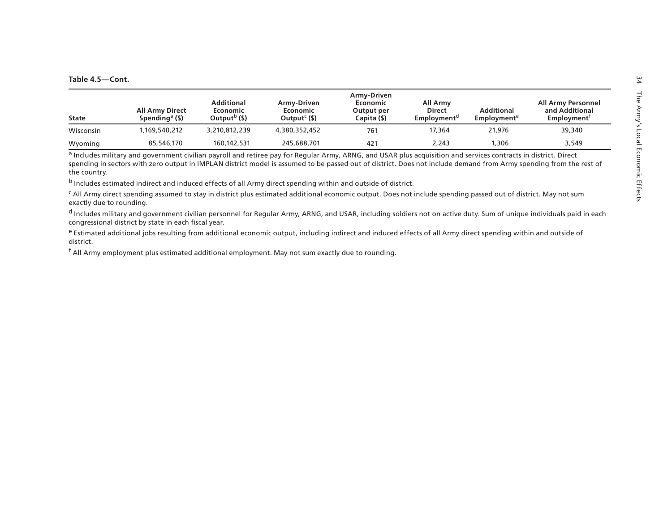| <b>State</b>             | <b>All Army Direct</b><br>Spending <sup>a</sup> (\$)                                                                                                                                                                                                                                                                                   | <b>Additional</b><br><b>Economic</b><br>Output <sup>b</sup> $($ \$) | Army-Driven<br><b>Economic</b><br>Output <sup><math>c</math></sup> (\$) | Army-Driven<br><b>Economic</b><br>Output per<br>Capita (\$) | <b>All Army</b><br><b>Direct</b><br>Employment <sup>a</sup> | <b>Additional</b><br>Employment <sup>e</sup> | <b>All Army Personnel</b><br>and Additional<br>$Employment$ <sup>†</sup> |
|--------------------------|----------------------------------------------------------------------------------------------------------------------------------------------------------------------------------------------------------------------------------------------------------------------------------------------------------------------------------------|---------------------------------------------------------------------|-------------------------------------------------------------------------|-------------------------------------------------------------|-------------------------------------------------------------|----------------------------------------------|--------------------------------------------------------------------------|
| Wisconsin                | 1,169,540,212                                                                                                                                                                                                                                                                                                                          | 3,210,812,239                                                       | 4,380,352,452                                                           | 761                                                         | 17,364                                                      | 21,976                                       | 39,340                                                                   |
| Wyoming                  | 85,546,170                                                                                                                                                                                                                                                                                                                             | 160,142,531                                                         | 245,688,701                                                             | 421                                                         | 2,243                                                       | 1,306                                        | 3,549                                                                    |
| the country.             | a Includes military and government civilian payroll and retiree pay for Regular Army, ARNG, and USAR plus acquisition and services contracts in district. Direct<br>spending in sectors with zero output in IMPLAN district model is assumed to be passed out of district. Does not include demand from Army spending from the rest of |                                                                     |                                                                         |                                                             |                                                             |                                              |                                                                          |
|                          | b Includes estimated indirect and induced effects of all Army direct spending within and outside of district.                                                                                                                                                                                                                          |                                                                     |                                                                         |                                                             |                                                             |                                              |                                                                          |
| exactly due to rounding. | <sup>c</sup> All Army direct spending assumed to stay in district plus estimated additional economic output. Does not include spending passed out of district. May not sum                                                                                                                                                             |                                                                     |                                                                         |                                                             |                                                             |                                              |                                                                          |

<sup>d</sup> Includes military and government civilian personnel for Regular Army, ARNG, and USAR, including soldiers not on active duty. Sum of unique individuals paid in each congressional district by state in each fiscal year.

e Estimated additional jobs resulting from additional economic output, including indirect and induced effects of all Army direct spending within and outside of district.

 $<sup>f</sup>$  All Army employment plus estimated additional employment. May not sum exactly due to rounding.</sup>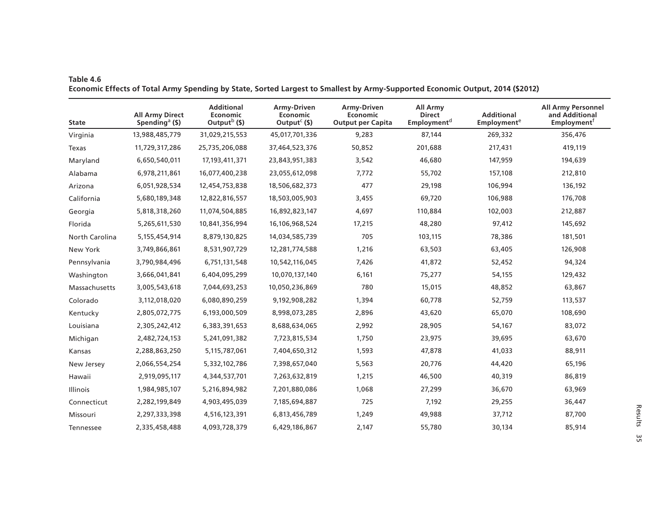| <b>State</b>   | <b>All Army Direct</b><br>Spending <sup>a</sup> (\$) | <b>Additional</b><br><b>Economic</b><br>Output <sup>b</sup> (\$) | Army-Driven<br><b>Economic</b><br>Output <sup><math>c</math></sup> (\$) | Army-Driven<br><b>Economic</b><br><b>Output per Capita</b> | All Army<br><b>Direct</b><br>Employment <sup>d</sup> | <b>Additional</b><br>Employment <sup>e</sup> | <b>All Army Personnel</b><br>and Additional<br>$Employment$ <sup>†</sup> |
|----------------|------------------------------------------------------|------------------------------------------------------------------|-------------------------------------------------------------------------|------------------------------------------------------------|------------------------------------------------------|----------------------------------------------|--------------------------------------------------------------------------|
| Virginia       | 13,988,485,779                                       | 31,029,215,553                                                   | 45,017,701,336                                                          | 9,283                                                      | 87.144                                               | 269,332                                      | 356,476                                                                  |
| Texas          | 11,729,317,286                                       | 25,735,206,088                                                   | 37,464,523,376                                                          | 50,852                                                     | 201,688                                              | 217,431                                      | 419,119                                                                  |
| Maryland       | 6,650,540,011                                        | 17,193,411,371                                                   | 23,843,951,383                                                          | 3,542                                                      | 46,680                                               | 147,959                                      | 194,639                                                                  |
| Alabama        | 6,978,211,861                                        | 16,077,400,238                                                   | 23,055,612,098                                                          | 7,772                                                      | 55,702                                               | 157,108                                      | 212,810                                                                  |
| Arizona        | 6,051,928,534                                        | 12,454,753,838                                                   | 18,506,682,373                                                          | 477                                                        | 29,198                                               | 106,994                                      | 136,192                                                                  |
| California     | 5,680,189,348                                        | 12,822,816,557                                                   | 18,503,005,903                                                          | 3,455                                                      | 69,720                                               | 106,988                                      | 176,708                                                                  |
| Georgia        | 5,818,318,260                                        | 11,074,504,885                                                   | 16,892,823,147                                                          | 4,697                                                      | 110,884                                              | 102,003                                      | 212,887                                                                  |
| Florida        | 5,265,611,530                                        | 10,841,356,994                                                   | 16,106,968,524                                                          | 17,215                                                     | 48,280                                               | 97,412                                       | 145,692                                                                  |
| North Carolina | 5,155,454,914                                        | 8,879,130,825                                                    | 14,034,585,739                                                          | 705                                                        | 103,115                                              | 78,386                                       | 181,501                                                                  |
| New York       | 3,749,866,861                                        | 8,531,907,729                                                    | 12,281,774,588                                                          | 1,216                                                      | 63,503                                               | 63,405                                       | 126,908                                                                  |
| Pennsylvania   | 3,790,984,496                                        | 6,751,131,548                                                    | 10,542,116,045                                                          | 7,426                                                      | 41,872                                               | 52,452                                       | 94,324                                                                   |
| Washington     | 3,666,041,841                                        | 6,404,095,299                                                    | 10,070,137,140                                                          | 6,161                                                      | 75,277                                               | 54,155                                       | 129,432                                                                  |
| Massachusetts  | 3,005,543,618                                        | 7,044,693,253                                                    | 10,050,236,869                                                          | 780                                                        | 15,015                                               | 48,852                                       | 63,867                                                                   |
| Colorado       | 3,112,018,020                                        | 6,080,890,259                                                    | 9,192,908,282                                                           | 1,394                                                      | 60,778                                               | 52,759                                       | 113,537                                                                  |
| Kentucky       | 2,805,072,775                                        | 6,193,000,509                                                    | 8,998,073,285                                                           | 2,896                                                      | 43,620                                               | 65,070                                       | 108,690                                                                  |
| Louisiana      | 2,305,242,412                                        | 6,383,391,653                                                    | 8,688,634,065                                                           | 2,992                                                      | 28,905                                               | 54,167                                       | 83,072                                                                   |
| Michigan       | 2,482,724,153                                        | 5,241,091,382                                                    | 7,723,815,534                                                           | 1,750                                                      | 23,975                                               | 39,695                                       | 63,670                                                                   |
| Kansas         | 2,288,863,250                                        | 5,115,787,061                                                    | 7,404,650,312                                                           | 1,593                                                      | 47,878                                               | 41,033                                       | 88,911                                                                   |
| New Jersey     | 2,066,554,254                                        | 5,332,102,786                                                    | 7,398,657,040                                                           | 5,563                                                      | 20,776                                               | 44,420                                       | 65,196                                                                   |
| Hawaii         | 2,919,095,117                                        | 4,344,537,701                                                    | 7,263,632,819                                                           | 1,215                                                      | 46,500                                               | 40,319                                       | 86,819                                                                   |
| Illinois       | 1,984,985,107                                        | 5,216,894,982                                                    | 7,201,880,086                                                           | 1,068                                                      | 27,299                                               | 36,670                                       | 63,969                                                                   |
| Connecticut    | 2,282,199,849                                        | 4,903,495,039                                                    | 7,185,694,887                                                           | 725                                                        | 7,192                                                | 29,255                                       | 36,447                                                                   |
| Missouri       | 2,297,333,398                                        | 4,516,123,391                                                    | 6,813,456,789                                                           | 1,249                                                      | 49,988                                               | 37,712                                       | 87,700                                                                   |
| Tennessee      | 2,335,458,488                                        | 4,093,728,379                                                    | 6,429,186,867                                                           | 2,147                                                      | 55,780                                               | 30,134                                       | 85,914                                                                   |

**Table 4.6 Economic Effects of Total Army Spending by State, Sorted Largest to Smallest by Army-Supported Economic Output, 2014 (\$2012)**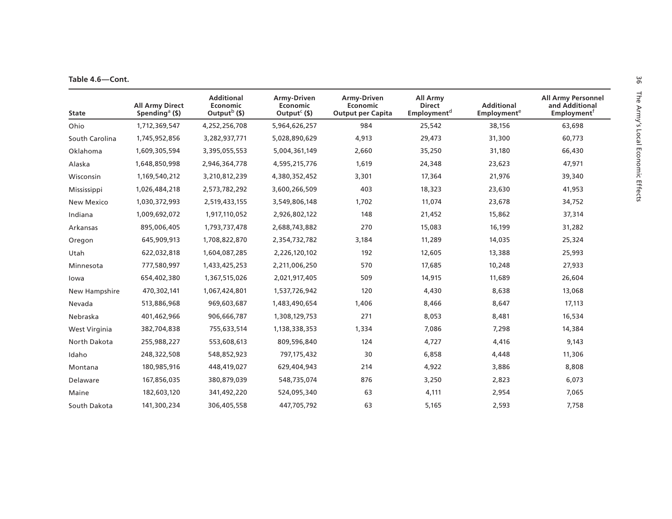|  | Table 4.6-Cont. |  |  |  |  |  |  |
|--|-----------------|--|--|--|--|--|--|
|--|-----------------|--|--|--|--|--|--|

| <b>State</b>      | <b>All Army Direct</b><br>Spending <sup>a</sup> (\$) | <b>Additional</b><br><b>Economic</b><br>Output <sup>b</sup> (\$) | Army-Driven<br><b>Economic</b><br>Output <sup><math>c</math></sup> (\$) | Army-Driven<br>Economic<br><b>Output per Capita</b> | All Army<br><b>Direct</b><br>Employment <sup>d</sup> | <b>Additional</b><br>Employmente | <b>All Army Personnel</b><br>and Additional<br>Employment <sup>†</sup> |
|-------------------|------------------------------------------------------|------------------------------------------------------------------|-------------------------------------------------------------------------|-----------------------------------------------------|------------------------------------------------------|----------------------------------|------------------------------------------------------------------------|
| Ohio              | 1,712,369,547                                        | 4,252,256,708                                                    | 5,964,626,257                                                           | 984                                                 | 25,542                                               | 38,156                           | 63,698                                                                 |
| South Carolina    | 1,745,952,856                                        | 3,282,937,771                                                    | 5,028,890,629                                                           | 4,913                                               | 29,473                                               | 31,300                           | 60,773                                                                 |
| Oklahoma          | 1,609,305,594                                        | 3,395,055,553                                                    | 5,004,361,149                                                           | 2,660                                               | 35,250                                               | 31,180                           | 66,430                                                                 |
| Alaska            | 1,648,850,998                                        | 2,946,364,778                                                    | 4,595,215,776                                                           | 1,619                                               | 24,348                                               | 23,623                           | 47,971                                                                 |
| Wisconsin         | 1,169,540,212                                        | 3,210,812,239                                                    | 4,380,352,452                                                           | 3,301                                               | 17,364                                               | 21,976                           | 39,340                                                                 |
| Mississippi       | 1,026,484,218                                        | 2,573,782,292                                                    | 3,600,266,509                                                           | 403                                                 | 18,323                                               | 23,630                           | 41,953                                                                 |
| <b>New Mexico</b> | 1,030,372,993                                        | 2,519,433,155                                                    | 3,549,806,148                                                           | 1,702                                               | 11,074                                               | 23,678                           | 34,752                                                                 |
| Indiana           | 1,009,692,072                                        | 1,917,110,052                                                    | 2,926,802,122                                                           | 148                                                 | 21,452                                               | 15,862                           | 37,314                                                                 |
| Arkansas          | 895,006,405                                          | 1,793,737,478                                                    | 2,688,743,882                                                           | 270                                                 | 15,083                                               | 16,199                           | 31,282                                                                 |
| Oregon            | 645,909,913                                          | 1,708,822,870                                                    | 2,354,732,782                                                           | 3,184                                               | 11,289                                               | 14,035                           | 25,324                                                                 |
| Utah              | 622,032,818                                          | 1,604,087,285                                                    | 2,226,120,102                                                           | 192                                                 | 12,605                                               | 13,388                           | 25,993                                                                 |
| Minnesota         | 777,580,997                                          | 1,433,425,253                                                    | 2,211,006,250                                                           | 570                                                 | 17,685                                               | 10,248                           | 27,933                                                                 |
| lowa              | 654,402,380                                          | 1,367,515,026                                                    | 2,021,917,405                                                           | 509                                                 | 14,915                                               | 11,689                           | 26,604                                                                 |
| New Hampshire     | 470,302,141                                          | 1,067,424,801                                                    | 1,537,726,942                                                           | 120                                                 | 4,430                                                | 8,638                            | 13,068                                                                 |
| Nevada            | 513,886,968                                          | 969,603,687                                                      | 1,483,490,654                                                           | 1,406                                               | 8,466                                                | 8,647                            | 17,113                                                                 |
| Nebraska          | 401,462,966                                          | 906,666,787                                                      | 1,308,129,753                                                           | 271                                                 | 8,053                                                | 8,481                            | 16,534                                                                 |
| West Virginia     | 382,704,838                                          | 755,633,514                                                      | 1,138,338,353                                                           | 1,334                                               | 7,086                                                | 7,298                            | 14,384                                                                 |
| North Dakota      | 255,988,227                                          | 553,608,613                                                      | 809,596,840                                                             | 124                                                 | 4,727                                                | 4,416                            | 9,143                                                                  |
| Idaho             | 248,322,508                                          | 548,852,923                                                      | 797,175,432                                                             | 30                                                  | 6,858                                                | 4,448                            | 11,306                                                                 |
| Montana           | 180,985,916                                          | 448,419,027                                                      | 629,404,943                                                             | 214                                                 | 4,922                                                | 3,886                            | 8,808                                                                  |
| Delaware          | 167,856,035                                          | 380,879,039                                                      | 548,735,074                                                             | 876                                                 | 3,250                                                | 2,823                            | 6,073                                                                  |
| Maine             | 182,603,120                                          | 341,492,220                                                      | 524,095,340                                                             | 63                                                  | 4,111                                                | 2,954                            | 7,065                                                                  |
| South Dakota      | 141,300,234                                          | 306,405,558                                                      | 447,705,792                                                             | 63                                                  | 5,165                                                | 2,593                            | 7,758                                                                  |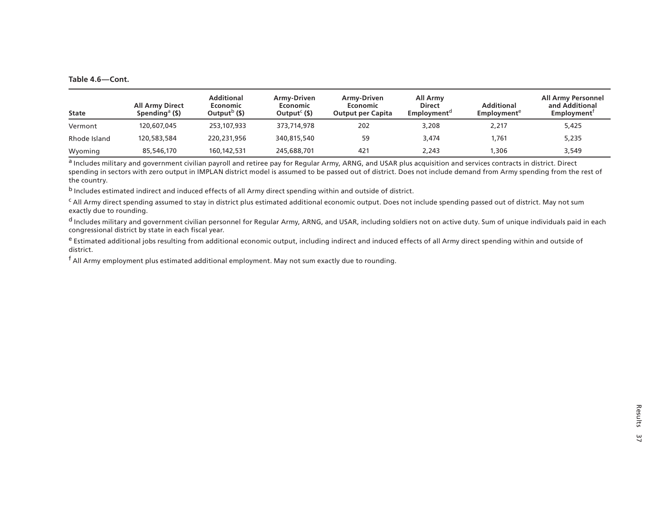#### **Table 4.6—Cont.**

| <b>State</b> | <b>All Army Direct</b><br>Spending <sup>a</sup> (\$) | <b>Additional</b><br><b>Economic</b><br>Output <sup>b</sup> $($ \$) | Army-Driven<br><b>Economic</b><br>Output <sup><math>c</math></sup> (\$) | Army-Driven<br><b>Economic</b><br><b>Output per Capita</b> | All Army<br><b>Direct</b><br>Employment <sup>d</sup> | <b>Additional</b><br>Employment <sup>e</sup> | <b>All Army Personnel</b><br>and Additional<br>Emplovement <sup>T</sup> |
|--------------|------------------------------------------------------|---------------------------------------------------------------------|-------------------------------------------------------------------------|------------------------------------------------------------|------------------------------------------------------|----------------------------------------------|-------------------------------------------------------------------------|
| Vermont      | 120,607,045                                          | 253,107,933                                                         | 373,714,978                                                             | 202                                                        | 3,208                                                | 2,217                                        | 5,425                                                                   |
| Rhode Island | 120,583,584                                          | 220,231,956                                                         | 340,815,540                                                             | 59                                                         | 3.474                                                | .761                                         | 5,235                                                                   |
| Wyoming      | 85,546,170                                           | 160,142,531                                                         | 245,688,701                                                             | 42 <sup>1</sup>                                            | 2.243                                                | ,306                                         | 3,549                                                                   |

a Includes military and government civilian payroll and retiree pay for Regular Army, ARNG, and USAR plus acquisition and services contracts in district. Direct spending in sectors with zero output in IMPLAN district model is assumed to be passed out of district. Does not include demand from Army spending from the rest of the country.

b Includes estimated indirect and induced effects of all Army direct spending within and outside of district.

<sup>c</sup> All Army direct spending assumed to stay in district plus estimated additional economic output. Does not include spending passed out of district. May not sum exactly due to rounding.

<sup>d</sup> Includes military and government civilian personnel for Regular Army, ARNG, and USAR, including soldiers not on active duty. Sum of unique individuals paid in each congressional district by state in each fiscal year.

e Estimated additional jobs resulting from additional economic output, including indirect and induced effects of all Army direct spending within and outside of district.

f All Army employment plus estimated additional employment. May not sum exactly due to rounding.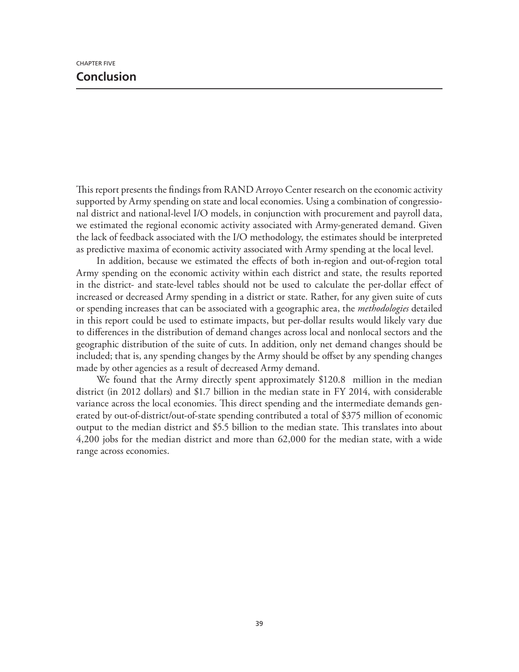This report presents the findings from RAND Arroyo Center research on the economic activity supported by Army spending on state and local economies. Using a combination of congressional district and national-level I/O models, in conjunction with procurement and payroll data, we estimated the regional economic activity associated with Army-generated demand. Given the lack of feedback associated with the I/O methodology, the estimates should be interpreted as predictive maxima of economic activity associated with Army spending at the local level.

In addition, because we estimated the effects of both in-region and out-of-region total Army spending on the economic activity within each district and state, the results reported in the district- and state-level tables should not be used to calculate the per-dollar effect of increased or decreased Army spending in a district or state. Rather, for any given suite of cuts or spending increases that can be associated with a geographic area, the *methodologies* detailed in this report could be used to estimate impacts, but per-dollar results would likely vary due to differences in the distribution of demand changes across local and nonlocal sectors and the geographic distribution of the suite of cuts. In addition, only net demand changes should be included; that is, any spending changes by the Army should be offset by any spending changes made by other agencies as a result of decreased Army demand.

We found that the Army directly spent approximately \$120.8 million in the median district (in 2012 dollars) and \$1.7 billion in the median state in FY 2014, with considerable variance across the local economies. This direct spending and the intermediate demands generated by out-of-district/out-of-state spending contributed a total of \$375 million of economic output to the median district and \$5.5 billion to the median state. This translates into about 4,200 jobs for the median district and more than 62,000 for the median state, with a wide range across economies.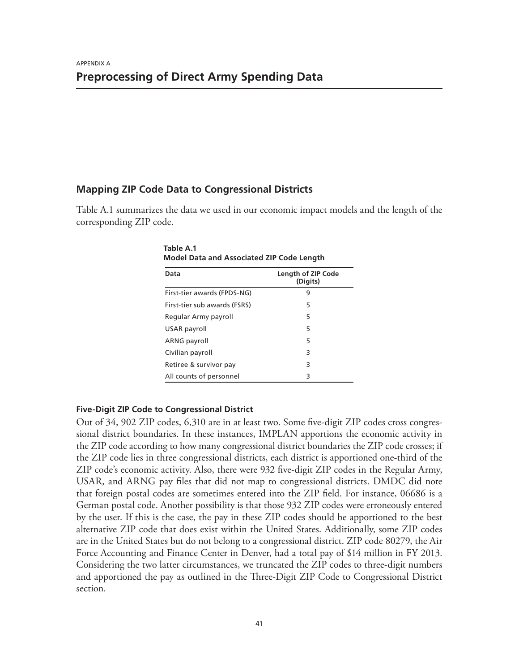#### **Mapping ZIP Code Data to Congressional Districts**

Table A.1 summarizes the data we used in our economic impact models and the length of the corresponding ZIP code.

| Data                         | <b>Length of ZIP Code</b><br>(Digits) |
|------------------------------|---------------------------------------|
| First-tier awards (FPDS-NG)  | 9                                     |
| First-tier sub awards (FSRS) | 5                                     |
| Regular Army payroll         | 5                                     |
| USAR payroll                 | 5                                     |
| <b>ARNG payroll</b>          | 5                                     |
| Civilian payroll             | 3                                     |
| Retiree & survivor pay       | 3                                     |
| All counts of personnel      | 3                                     |

**Table A.1 Model Data and Associated ZIP Code Length**

#### **Five-Digit ZIP Code to Congressional District**

Out of 34, 902 ZIP codes, 6,310 are in at least two. Some five-digit ZIP codes cross congressional district boundaries. In these instances, IMPLAN apportions the economic activity in the ZIP code according to how many congressional district boundaries the ZIP code crosses; if the ZIP code lies in three congressional districts, each district is apportioned one-third of the ZIP code's economic activity. Also, there were 932 five-digit ZIP codes in the Regular Army, USAR, and ARNG pay files that did not map to congressional districts. DMDC did note that foreign postal codes are sometimes entered into the ZIP field. For instance, 06686 is a German postal code. Another possibility is that those 932 ZIP codes were erroneously entered by the user. If this is the case, the pay in these ZIP codes should be apportioned to the best alternative ZIP code that does exist within the United States. Additionally, some ZIP codes are in the United States but do not belong to a congressional district. ZIP code 80279, the Air Force Accounting and Finance Center in Denver, had a total pay of \$14 million in FY 2013. Considering the two latter circumstances, we truncated the ZIP codes to three-digit numbers and apportioned the pay as outlined in the Three-Digit ZIP Code to Congressional District section.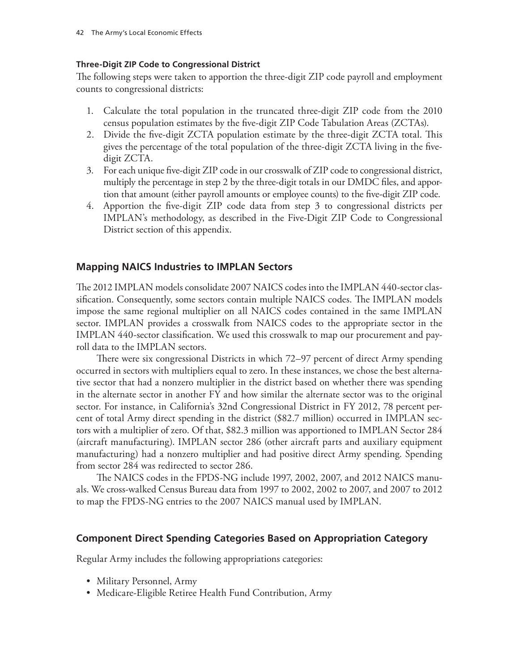#### **Three-Digit ZIP Code to Congressional District**

The following steps were taken to apportion the three-digit ZIP code payroll and employment counts to congressional districts:

- 1. Calculate the total population in the truncated three-digit ZIP code from the 2010 census population estimates by the five-digit ZIP Code Tabulation Areas (ZCTAs).
- 2. Divide the five-digit ZCTA population estimate by the three-digit ZCTA total. This gives the percentage of the total population of the three-digit ZCTA living in the fivedigit ZCTA.
- 3. For each unique five-digit ZIP code in our crosswalk of ZIP code to congressional district, multiply the percentage in step 2 by the three-digit totals in our DMDC files, and apportion that amount (either payroll amounts or employee counts) to the five-digit ZIP code.
- 4. Apportion the five-digit ZIP code data from step 3 to congressional districts per IMPLAN's methodology, as described in the Five-Digit ZIP Code to Congressional District section of this appendix.

#### **Mapping NAICS Industries to IMPLAN Sectors**

The 2012 IMPLAN models consolidate 2007 NAICS codes into the IMPLAN 440-sector classification. Consequently, some sectors contain multiple NAICS codes. The IMPLAN models impose the same regional multiplier on all NAICS codes contained in the same IMPLAN sector. IMPLAN provides a crosswalk from NAICS codes to the appropriate sector in the IMPLAN 440-sector classification. We used this crosswalk to map our procurement and payroll data to the IMPLAN sectors.

There were six congressional Districts in which 72–97 percent of direct Army spending occurred in sectors with multipliers equal to zero. In these instances, we chose the best alternative sector that had a nonzero multiplier in the district based on whether there was spending in the alternate sector in another FY and how similar the alternate sector was to the original sector. For instance, in California's 32nd Congressional District in FY 2012, 78 percent percent of total Army direct spending in the district (\$82.7 million) occurred in IMPLAN sectors with a multiplier of zero. Of that, \$82.3 million was apportioned to IMPLAN Sector 284 (aircraft manufacturing). IMPLAN sector 286 (other aircraft parts and auxiliary equipment manufacturing) had a nonzero multiplier and had positive direct Army spending. Spending from sector 284 was redirected to sector 286.

The NAICS codes in the FPDS-NG include 1997, 2002, 2007, and 2012 NAICS manuals. We cross-walked Census Bureau data from 1997 to 2002, 2002 to 2007, and 2007 to 2012 to map the FPDS-NG entries to the 2007 NAICS manual used by IMPLAN.

#### **Component Direct Spending Categories Based on Appropriation Category**

Regular Army includes the following appropriations categories:

- Military Personnel, Army
- Medicare-Eligible Retiree Health Fund Contribution, Army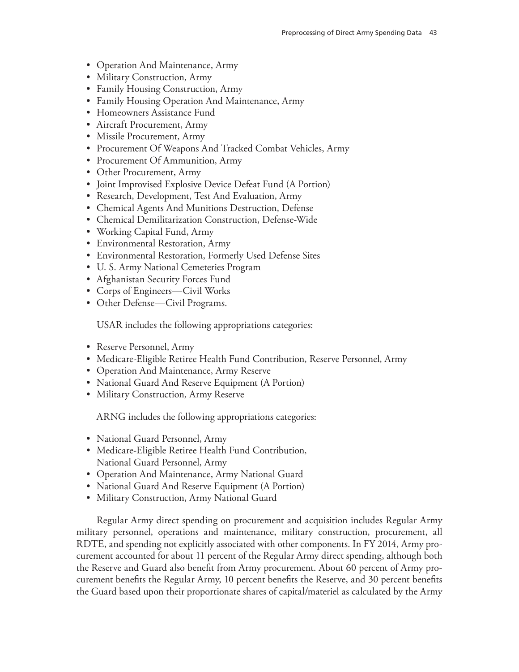- Operation And Maintenance, Army
- Military Construction, Army
- Family Housing Construction, Army
- Family Housing Operation And Maintenance, Army
- Homeowners Assistance Fund
- Aircraft Procurement, Army
- Missile Procurement, Army
- Procurement Of Weapons And Tracked Combat Vehicles, Army
- Procurement Of Ammunition, Army
- Other Procurement, Army
- Joint Improvised Explosive Device Defeat Fund (A Portion)
- Research, Development, Test And Evaluation, Army
- Chemical Agents And Munitions Destruction, Defense
- Chemical Demilitarization Construction, Defense-Wide
- Working Capital Fund, Army
- Environmental Restoration, Army
- Environmental Restoration, Formerly Used Defense Sites
- U. S. Army National Cemeteries Program
- Afghanistan Security Forces Fund
- Corps of Engineers—Civil Works
- Other Defense—Civil Programs.

USAR includes the following appropriations categories:

- Reserve Personnel, Army
- Medicare-Eligible Retiree Health Fund Contribution, Reserve Personnel, Army
- Operation And Maintenance, Army Reserve
- National Guard And Reserve Equipment (A Portion)
- Military Construction, Army Reserve

ARNG includes the following appropriations categories:

- National Guard Personnel, Army
- Medicare-Eligible Retiree Health Fund Contribution, National Guard Personnel, Army
- Operation And Maintenance, Army National Guard
- National Guard And Reserve Equipment (A Portion)
- Military Construction, Army National Guard

Regular Army direct spending on procurement and acquisition includes Regular Army military personnel, operations and maintenance, military construction, procurement, all RDTE, and spending not explicitly associated with other components. In FY 2014, Army procurement accounted for about 11 percent of the Regular Army direct spending, although both the Reserve and Guard also benefit from Army procurement. About 60 percent of Army procurement benefits the Regular Army, 10 percent benefits the Reserve, and 30 percent benefits the Guard based upon their proportionate shares of capital/materiel as calculated by the Army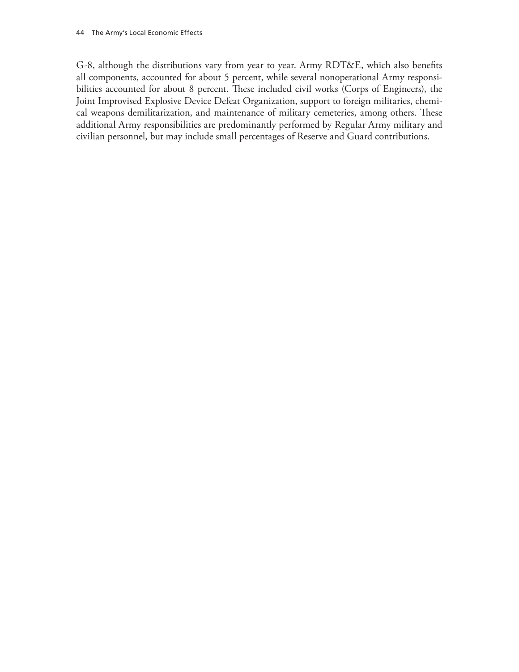G-8, although the distributions vary from year to year. Army RDT&E, which also benefits all components, accounted for about 5 percent, while several nonoperational Army responsibilities accounted for about 8 percent. These included civil works (Corps of Engineers), the Joint Improvised Explosive Device Defeat Organization, support to foreign militaries, chemical weapons demilitarization, and maintenance of military cemeteries, among others. These additional Army responsibilities are predominantly performed by Regular Army military and civilian personnel, but may include small percentages of Reserve and Guard contributions.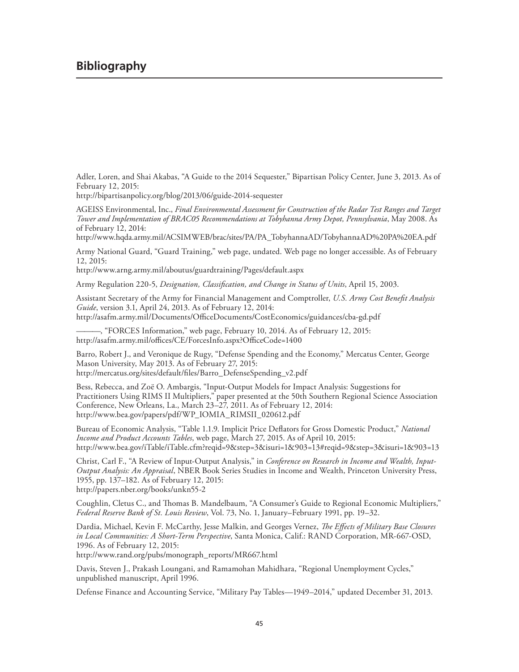## **Bibliography**

Adler, Loren, and Shai Akabas, "A Guide to the 2014 Sequester," Bipartisan Policy Center, June 3, 2013. As of February 12, 2015:

<http://bipartisanpolicy.org/blog/2013/06/guide-2014-sequester>

AGEISS Environmental, Inc., *Final Environmental Assessment for Construction of the Radar Test Ranges and Target Tower and Implementation of BRAC05 Recommendations at Tobyhanna Army Depot, Pennsylvania*, May 2008. As of February 12, 2014:

[http://www.hqda.army.mil/ACSIMWEB/brac/sites/PA/PA\\_TobyhannaAD/TobyhannaAD%20PA%20EA.pdf](http://www.hqda.army.mil/ACSIMWEB/brac/sites/PA/PA_TobyhannaAD/TobyhannaAD%20PA%20EA.pdf)

Army National Guard, "Guard Training," web page, undated. Web page no longer accessible. As of February 12, 2015:

<http://www.arng.army.mil/aboutus/guardtraining/Pages/default.aspx>

Army Regulation 220-5, *Designation, Classification, and Change in Status of Units*, April 15, 2003.

Assistant Secretary of the Army for Financial Management and Comptroller, *U.S. Army Cost Benefit Analysis Guide*, version 3.1, April 24, 2013. As of February 12, 2014: <http://asafm.army.mil/Documents/OfficeDocuments/CostEconomics/guidances/cba-gd.pdf>

———, "FORCES Information," web page, February 10, 2014. As of February 12, 2015: <http://asafm.army.mil/offices/CE/ForcesInfo.aspx?OfficeCode=1400>

Barro, Robert J., and Veronique de Rugy, "Defense Spending and the Economy," Mercatus Center, George Mason University, May 2013. As of February 27, 2015: [http://mercatus.org/sites/default/files/Barro\\_DefenseSpending\\_v2.pdf](http://mercatus.org/sites/default/files/Barro_DefenseSpending_v2.pdf)

Bess, Rebecca, and Zoë O. Ambargis, "Input-Output Models for Impact Analysis: Suggestions for Practitioners Using RIMS II Multipliers," paper presented at the 50th Southern Regional Science Association Conference, New Orleans, La., March 23–27, 2011. As of February 12, 2014: [http://www.bea.gov/papers/pdf/WP\\_IOMIA\\_RIMSII\\_020612.pdf](http://www.bea.gov/papers/pdf/WP_IOMIA_RIMSII_020612.pdf)

Bureau of Economic Analysis, "Table 1.1.9. Implicit Price Deflators for Gross Domestic Product," *National Income and Product Accounts Tables*, web page, March 27, 2015. As of April 10, 2015: <http://www.bea.gov/iTable/iTable.cfm?reqid=9&step=3&isuri=1&903=13#reqid=9&step=3&isuri=1&903=13>

Christ, Carl F., "A Review of Input-Output Analysis," in *Conference on Research in Income and Wealth, Input-Output Analysis: An Appraisal*, NBER Book Series Studies in Income and Wealth, Princeton University Press, 1955, pp. 137–182. As of February 12, 2015: <http://papers.nber.org/books/unkn55-2>

Coughlin, Cletus C., and Thomas B. Mandelbaum, "A Consumer's Guide to Regional Economic Multipliers," *Federal Reserve Bank of St. Louis Review*, Vol. 73, No. 1, January–February 1991, pp. 19–32.

Dardia, Michael, Kevin F. McCarthy, Jesse Malkin, and Georges Vernez, *The Effects of Military Base Closures in Local Communities: A Short-Term Perspective*, Santa Monica, Calif.: RAND Corporation, MR-667-OSD, 1996. As of February 12, 2015:

[http://www.rand.org/pubs/monograph\\_reports/MR667.html](http://www.rand.org/pubs/monograph_reports/MR667.html)

Davis, Steven J., Prakash Loungani, and Ramamohan Mahidhara, "Regional Unemployment Cycles," unpublished manuscript, April 1996.

Defense Finance and Accounting Service, "Military Pay Tables—1949–2014," updated December 31, 2013.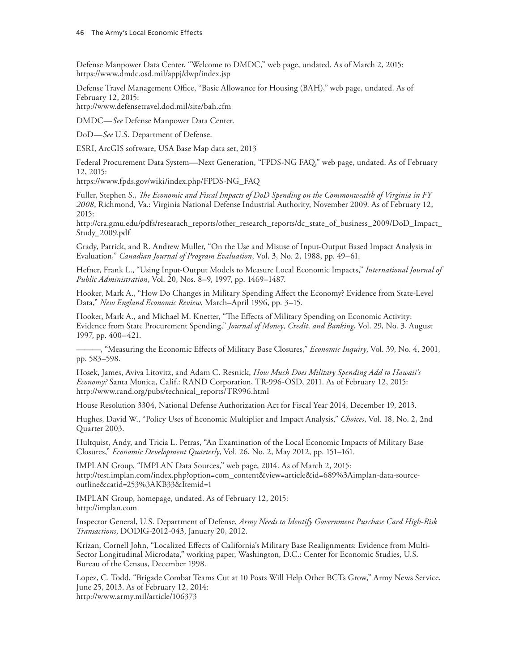Defense Manpower Data Center, "Welcome to DMDC," web page, undated. As of March 2, 2015: <https://www.dmdc.osd.mil/appj/dwp/index.jsp>

Defense Travel Management Office, "Basic Allowance for Housing (BAH)," web page, undated. As of February 12, 2015:

<http://www.defensetravel.dod.mil/site/bah.cfm>

DMDC—*See* Defense Manpower Data Center.

DoD—*See* U.S. Department of Defense.

ESRI, ArcGIS software, USA Base Map data set, 2013

Federal Procurement Data System—Next Generation, "FPDS-NG FAQ," web page, undated. As of February 12, 2015:

[https://www.fpds.gov/wiki/index.php/FPDS-NG\\_FAQ](https://www.fpds.gov/wiki/index.php/FPDS-NG_FAQ)

Fuller, Stephen S., *The Economic and Fiscal Impacts of DoD Spending on the Commonwealth of Virginia in FY 2008*, Richmond, Va.: Virginia National Defense Industrial Authority, November 2009. As of February 12, 2015:

[http://cra.gmu.edu/pdfs/researach\\_reports/other\\_research\\_reports/dc\\_state\\_of\\_business\\_2009/DoD\\_Impact\\_](http://cra.gmu.edu/pdfs/researach_reports/other_research_reports/dc_state_of_business_2009/DoD_Impact_Study_2009.pdf) Study\_2009.pdf

Grady, Patrick, and R. Andrew Muller, "On the Use and Misuse of Input-Output Based Impact Analysis in Evaluation," *Canadian Journal of Program Evaluation*, Vol. 3, No. 2, 1988, pp. 49–61.

Hefner, Frank L., "Using Input-Output Models to Measure Local Economic Impacts," *International Journal of Public Administration*, Vol. 20, Nos. 8–9, 1997, pp. 1469–1487.

Hooker, Mark A., "How Do Changes in Military Spending Affect the Economy? Evidence from State-Level Data," *New England Economic Review*, March–April 1996, pp. 3–15.

Hooker, Mark A., and Michael M. Knetter, "The Effects of Military Spending on Economic Activity: Evidence from State Procurement Spending," *Journal of Money, Credit, and Banking*, Vol. 29, No. 3, August 1997, pp. 400–421.

———, "Measuring the Economic Effects of Military Base Closures," *Economic Inquiry*, Vol. 39, No. 4, 2001, pp. 583–598.

Hosek, James, Aviva Litovitz, and Adam C. Resnick, *How Much Does Military Spending Add to Hawaii's Economy?* Santa Monica, Calif.: RAND Corporation, TR-996-OSD, 2011. As of February 12, 2015: [http://www.rand.org/pubs/technical\\_reports/TR996.html](http://www.rand.org/pubs/technical_reports/TR996.html)

House Resolution 3304, National Defense Authorization Act for Fiscal Year 2014, December 19, 2013.

Hughes, David W., "Policy Uses of Economic Multiplier and Impact Analysis," *Choices*, Vol. 18, No. 2, 2nd Quarter 2003.

Hultquist, Andy, and Tricia L. Petras, "An Examination of the Local Economic Impacts of Military Base Closures," *Economic Development Quarterly*, Vol. 26, No. 2, May 2012, pp. 151–161.

IMPLAN Group, "IMPLAN Data Sources," web page, 2014. As of March 2, 2015: [http://test.implan.com/index.php?option=com\\_content&view=article&id=689%3Aimplan-data-source](http://test.implan.com/index.php?option=com_content&view=article&id=689%3Aimplan-data-source-outline&catid=253%3AKB33&Itemid=1)outline&catid=253%3AKB33&Itemid=1

IMPLAN Group, homepage, undated. As of February 12, 2015: <http://implan.com>

Inspector General, U.S. Department of Defense, *Army Needs to Identify Government Purchase Card High-Risk Transactions*, DODIG-2012-043, January 20, 2012.

Krizan, Cornell John, "Localized Effects of California's Military Base Realignments: Evidence from Multi-Sector Longitudinal Microdata," working paper, Washington, D.C.: Center for Economic Studies, U.S. Bureau of the Census, December 1998.

Lopez, C. Todd, "Brigade Combat Teams Cut at 10 Posts Will Help Other BCTs Grow," Army News Service, June 25, 2013. As of February 12, 2014: <http://www.army.mil/article/106373>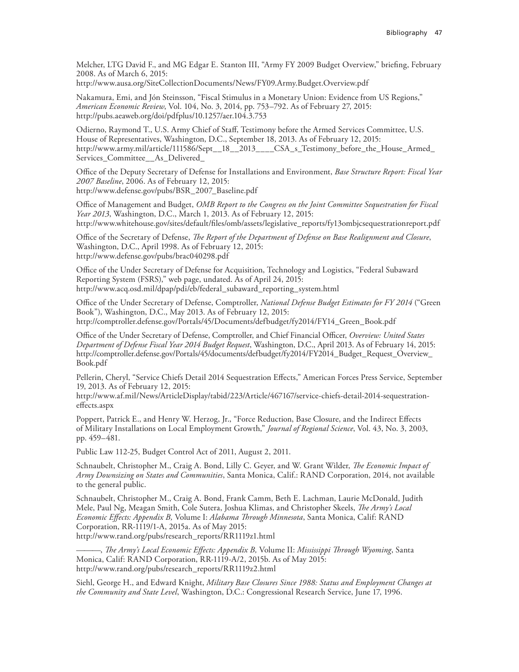Melcher, LTG David F., and MG Edgar E. Stanton III, "Army FY 2009 Budget Overview," briefing, February 2008. As of March 6, 2015:

<http://www.ausa.org/SiteCollectionDocuments/News/FY09.Army.Budget.Overview.pdf>

Nakamura, Emi, and Jón Steinsson, "Fiscal Stimulus in a Monetary Union: Evidence from US Regions," *American Economic Review*, Vol. 104, No. 3, 2014, pp. 753–792. As of February 27, 2015: <http://pubs.aeaweb.org/doi/pdfplus/10.1257/aer.104.3.753>

Odierno, Raymond T., U.S. Army Chief of Staff, Testimony before the Armed Services Committee, U.S. House of Representatives, Washington, D.C., September 18, 2013. As of February 12, 2015: [http://www.army.mil/article/111586/Sept\\_\\_18\\_\\_2013\\_\\_\\_\\_CSA\\_s\\_Testimony\\_before\\_the\\_House\\_Armed\\_](http://www.army.mil/article/111586/Sept__18__2013____CSA_s_Testimony_before_the_House_Armed_Services_Committee__As_Delivered_) Services\_Committee\_\_As\_Delivered\_

Office of the Deputy Secretary of Defense for Installations and Environment, *Base Structure Report: Fiscal Year 2007 Baseline*, 2006. As of February 12, 2015: [http://www.defense.gov/pubs/BSR\\_2007\\_Baseline.pdf](http://www.defense.gov/pubs/BSR_2007_Baseline.pdf)

Office of Management and Budget, *OMB Report to the Congress on the Joint Committee Sequestration for Fiscal Year 2013*, Washington, D.C., March 1, 2013. As of February 12, 2015: [http://www.whitehouse.gov/sites/default/files/omb/assets/legislative\\_reports/fy13ombjcsequestrationreport.pdf](http://www.whitehouse.gov/sites/default/files/omb/assets/legislative_reports/fy13ombjcsequestrationreport.pdf)

Office of the Secretary of Defense, *The Report of the Department of Defense on Base Realignment and Closure*, Washington, D.C., April 1998. As of February 12, 2015: <http://www.defense.gov/pubs/brac040298.pdf>

Office of the Under Secretary of Defense for Acquisition, Technology and Logistics, "Federal Subaward Reporting System (FSRS)," web page, undated. As of April 24, 2015: [http://www.acq.osd.mil/dpap/pdi/eb/federal\\_subaward\\_reporting\\_system.html](http://www.acq.osd.mil/dpap/pdi/eb/federal_subaward_reporting_system.html)

Office of the Under Secretary of Defense, Comptroller, *National Defense Budget Estimates for FY 2014* ("Green Book"), Washington, D.C., May 2013. As of February 12, 2015: [http://comptroller.defense.gov/Portals/45/Documents/defbudget/fy2014/FY14\\_Green\\_Book.pdf](http://comptroller.defense.gov/Portals/45/Documents/defbudget/fy2014/FY14_Green_Book.pdf)

Office of the Under Secretary of Defense, Comptroller, and Chief Financial Officer, *Overview: United States Department of Defense Fiscal Year 2014 Budget Request*, Washington, D.C., April 2013. As of February 14, 2015: [http://comptroller.defense.gov/Portals/45/documents/defbudget/fy2014/FY2014\\_Budget\\_Request\\_Overview\\_](http://comptroller.defense.gov/Portals/45/documents/defbudget/fy2014/FY2014_Budget_Request_Overview_Book.pdf) Book.pdf

Pellerin, Cheryl, "Service Chiefs Detail 2014 Sequestration Effects," American Forces Press Service, September 19, 2013. As of February 12, 2015:

[http://www.af.mil/News/ArticleDisplay/tabid/223/Article/467167/service-chiefs-detail-2014-sequestration](http://www.af.mil/News/ArticleDisplay/tabid/223/Article/467167/service-chiefs-detail-2014-sequestration-effects.aspx)effects.aspx

Poppert, Patrick E., and Henry W. Herzog, Jr., "Force Reduction, Base Closure, and the Indirect Effects of Military Installations on Local Employment Growth," *Journal of Regional Science*, Vol. 43, No. 3, 2003, pp. 459–481.

Public Law 112-25, Budget Control Act of 2011, August 2, 2011.

Schnaubelt, Christopher M., Craig A. Bond, Lilly C. Geyer, and W. Grant Wilder, *The Economic Impact of Army Downsizing on States and Communities*, Santa Monica, Calif.: RAND Corporation, 2014, not available to the general public.

Schnaubelt, Christopher M., Craig A. Bond, Frank Camm, Beth E. Lachman, Laurie McDonald, Judith Mele, Paul Ng, Meagan Smith, Cole Sutera, Joshua Klimas, and Christopher Skeels, *The Army's Local Economic Effects: Appendix B,* Volume I: *Alabama Through Minnesota*, Santa Monica, Calif: RAND Corporation, RR-1119/1-A, 2015a. As of May 2015: [http://www.rand.org/pubs/research\\_reports/RR1119z1.html](http://www.rand.org/pubs/research_reports/RR1119z1.html)

———, *The Army's Local Economic Effects: Appendix B,* Volume II: *Mississippi Through Wyoming*, Santa Monica, Calif: RAND Corporation, RR-1119-A/2, 2015b. As of May 2015: [http://www.rand.org/pubs/research\\_reports/RR1119z2.html](http://www.rand.org/pubs/research_reports/RR1119z2.html)

Siehl, George H., and Edward Knight, *Military Base Closures Since 1988: Status and Employment Changes at the Community and State Level*, Washington, D.C.: Congressional Research Service, June 17, 1996.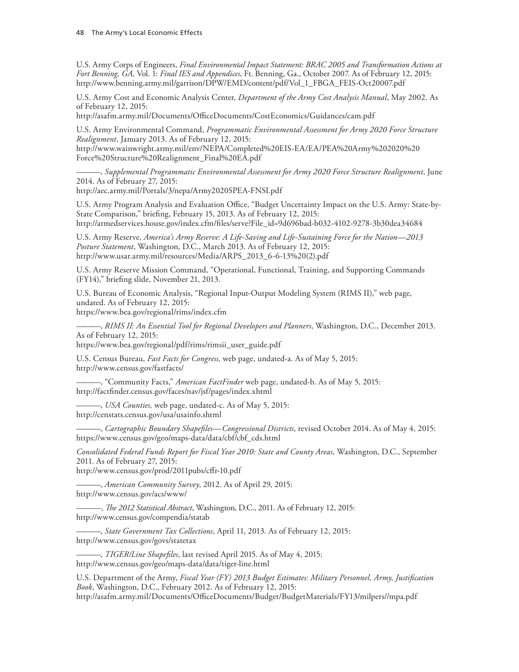U.S. Army Corps of Engineers, *Final Environmental Impact Statement: BRAC 2005 and Transformation Actions at Fort Benning, GA,* Vol. 1: *Final IES and Appendices*, Ft. Benning, Ga., October 2007. As of February 12, 2015: [http://www.benning.army.mil/garrison/DPW/EMD/content/pdf/Vol\\_1\\_FBGA\\_FEIS-Oct20007.pdf](http://www.benning.army.mil/garrison/DPW/EMD/content/pdf/Vol_1_FBGA_FEIS-Oct20007.pdf)

U.S. Army Cost and Economic Analysis Center, *Department of the Army Cost Analysis Manual*, May 2002. As of February 12, 2015:

<http://asafm.army.mil/Documents/OfficeDocuments/CostEconomics/Guidances/cam.pdf>

U.S. Army Environmental Command, *Programmatic Environmental Assessment for Army 2020 Force Structure Realignment*, January 2013. As of February 12, 2015:

[http://www.wainwright.army.mil/env/NEPA/Completed%20EIS-EA/EA/PEA%20Army%202020%20](http://www.wainwright.army.mil/env/NEPA/Completed%20EIS-EA/EA/PEA%20Army%202020%20Force%20Structure%20Realignment_Final%20EA.pdf) Force%20Structure%20Realignment\_Final%20EA.pdf

———, *Supplemental Programmatic Environmental Assessment for Army 2020 Force Structure Realignment*, June 2014. As of February 27, 2015:

<http://aec.army.mil/Portals/3/nepa/Army2020SPEA-FNSI.pdf>

U.S. Army Program Analysis and Evaluation Office, "Budget Uncertainty Impact on the U.S. Army: State-by-State Comparison," briefing, February 15, 2013. As of February 12, 2015: [http://armedservices.house.gov/index.cfm/files/serve?File\\_id=9d696bad-b032-4102-9278-3b30dea34684](http://armedservices.house.gov/index.cfm/files/serve?File_id=9d696bad-b032-4102-9278-3b30dea34684)

U.S. Army Reserve, *America's Army Reserve: A Life-Saving and Life-Sustaining Force for the Nation—2013 Posture Statement*, Washington, D.C., March 2013. As of February 12, 2015: [http://www.usar.army.mil/resources/Media/ARPS\\_2013\\_6-6-13%20\(2\).pdf](http://www.usar.army.mil/resources/Media/ARPS_2013_6-6-13%20(2).pdf)

U.S. Army Reserve Mission Command, "Operational, Functional, Training, and Supporting Commands (FY14)," briefing slide, November 21, 2013.

U.S. Bureau of Economic Analysis, "Regional Input-Output Modeling System (RIMS II)," web page, undated. As of February 12, 2015: <https://www.bea.gov/regional/rims/index.cfm>

———, *RIMS II: An Essential Tool for Regional Developers and Planners*, Washington, D.C., December 2013. As of February 12, 2015:

[https://www.bea.gov/regional/pdf/rims/rimsii\\_user\\_guide.pdf](https://www.bea.gov/regional/pdf/rims/rimsii_user_guide.pdf)

U.S. Census Bureau, *Fast Facts for Congress,* web page, undated-a. As of May 5, 2015: <http://www.census.gov/fastfacts/>

———, "Community Facts," *American FactFinder* web page, undated-b. As of May 5, 2015: <http://factfinder.census.gov/faces/nav/jsf/pages/index.xhtml>

———, *USA Counties,* web page, undated-c. As of May 5, 2015: <http://censtats.census.gov/usa/usainfo.shtml>

———, *Cartographic Boundary Shapefiles—Congressional Districts*, revised October 2014. As of May 4, 2015: [https://www.census.gov/geo/maps-data/data/cbf/cbf\\_cds.html](https://www.census.gov/geo/maps-data/data/cbf/cbf_cds.html)

*Consolidated Federal Funds Report for Fiscal Year 2010: State and County Areas*, Washington, D.C., September 2011. As of February 27, 2015:

<http://www.census.gov/prod/2011pubs/cffr-10.pdf>

———, *American Community Survey*, 2012. As of April 29, 2015: <http://www.census.gov/acs/www/>

———, *The 2012 Statistical Abstract*, Washington, D.C., 2011. As of February 12, 2015: <http://www.census.gov/compendia/statab>

———, *State Government Tax Collections*, April 11, 2013. As of February 12, 2015: <http://www.census.gov/govs/statetax>

———, *TIGER/Line Shapefiles*, last revised April 2015. As of May 4, 2015: <http://www.census.gov/geo/maps-data/data/tiger-line.html>

U.S. Department of the Army, *Fiscal Year (FY) 2013 Budget Estimates: Military Personnel, Army, Justification Book*, Washington, D.C., February 2012. As of February 12, 2015: <http://asafm.army.mil/Documents/OfficeDocuments/Budget/BudgetMaterials/FY13/milpers//mpa.pdf>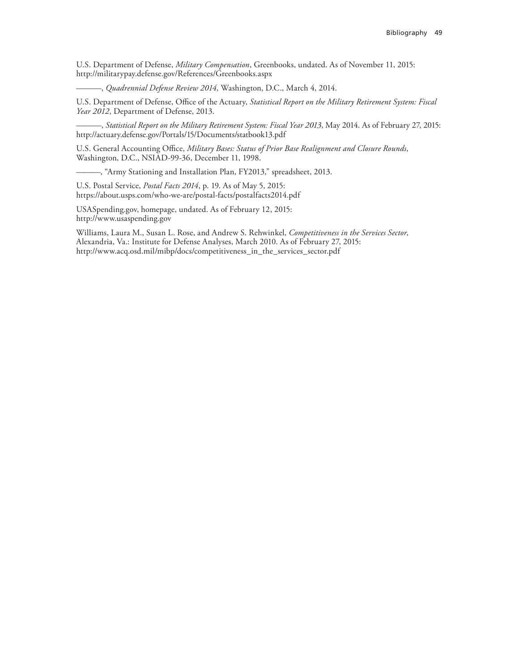U.S. Department of Defense, *Military Compensation*, Greenbooks, undated. As of November 11, 2015: <http://militarypay.defense.gov/References/Greenbooks.aspx>

———, *Quadrennial Defense Review 2014*, Washington, D.C., March 4, 2014.

U.S. Department of Defense, Office of the Actuary, *Statistical Report on the Military Retirement System: Fiscal Year 2012*, Department of Defense, 2013.

———, *Statistical Report on the Military Retirement System: Fiscal Year 2013*, May 2014. As of February 27, 2015: <http://actuary.defense.gov/Portals/15/Documents/statbook13.pdf>

U.S. General Accounting Office, *Military Bases: Status of Prior Base Realignment and Closure Rounds*, Washington, D.C., NSIAD-99-36, December 11, 1998.

-, "Army Stationing and Installation Plan, FY2013," spreadsheet, 2013.

U.S. Postal Service, *Postal Facts 2014*, p. 19. As of May 5, 2015: <https://about.usps.com/who-we-are/postal-facts/postalfacts2014.pdf>

USASpending.gov, homepage, undated. As of February 12, 2015: <http://www.usaspending.gov>

Williams, Laura M., Susan L. Rose, and Andrew S. Rehwinkel, *Competitiveness in the Services Sector*, Alexandria, Va.: Institute for Defense Analyses, March 2010. As of February 27, 2015: [http://www.acq.osd.mil/mibp/docs/competitiveness\\_in\\_the\\_services\\_sector.pdf](http://www.acq.osd.mil/mibp/docs/competitiveness_in_the_services_sector.pdf)